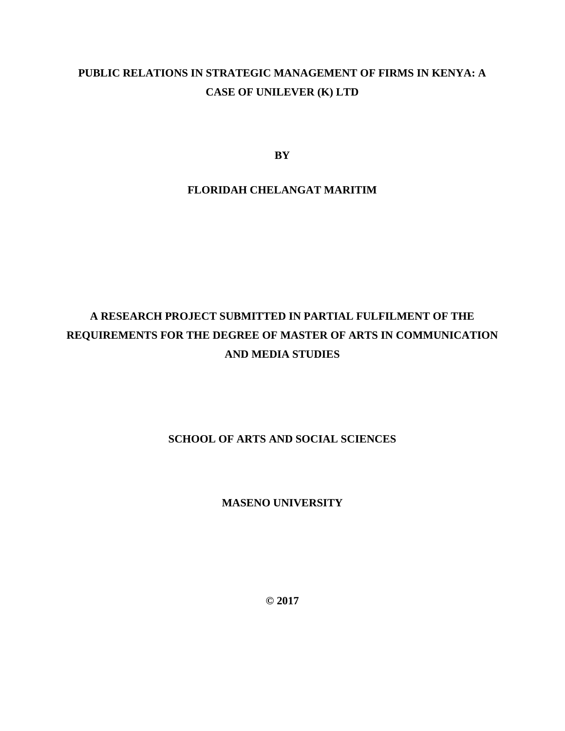# **PUBLIC RELATIONS IN STRATEGIC MANAGEMENT OF FIRMS IN KENYA: A CASE OF UNILEVER (K) LTD**

**BY**

# **FLORIDAH CHELANGAT MARITIM**

# **A RESEARCH PROJECT SUBMITTED IN PARTIAL FULFILMENT OF THE REQUIREMENTS FOR THE DEGREE OF MASTER OF ARTS IN COMMUNICATION AND MEDIA STUDIES**

# **SCHOOL OF ARTS AND SOCIAL SCIENCES**

**MASENO UNIVERSITY**

**© 2017**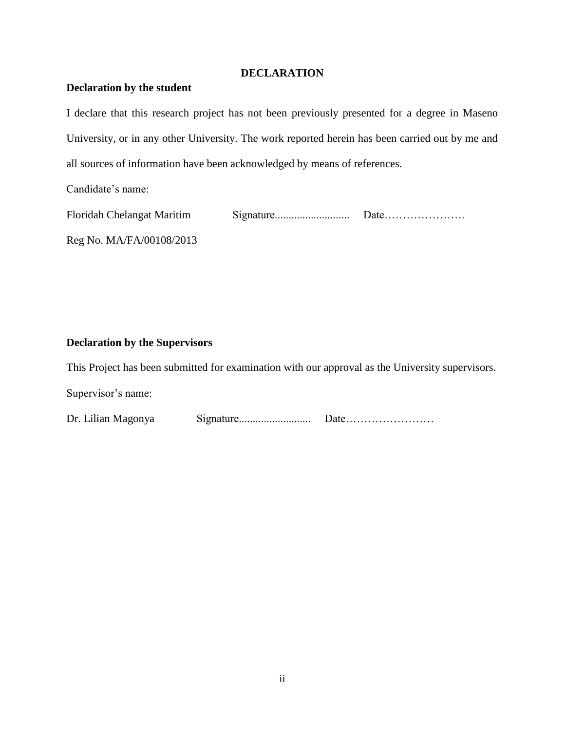# **DECLARATION**

# <span id="page-1-0"></span>**Declaration by the student**

I declare that this research project has not been previously presented for a degree in Maseno University, or in any other University. The work reported herein has been carried out by me and all sources of information have been acknowledged by means of references.

Candidate's name:

| <b>Floridah Chelangat Maritim</b> |  |
|-----------------------------------|--|
|                                   |  |

Reg No. MA/FA/00108/2013

# **Declaration by the Supervisors**

This Project has been submitted for examination with our approval as the University supervisors.

Supervisor's name:

| Dr. Lilian Magonya | Sigma |  |
|--------------------|-------|--|
|--------------------|-------|--|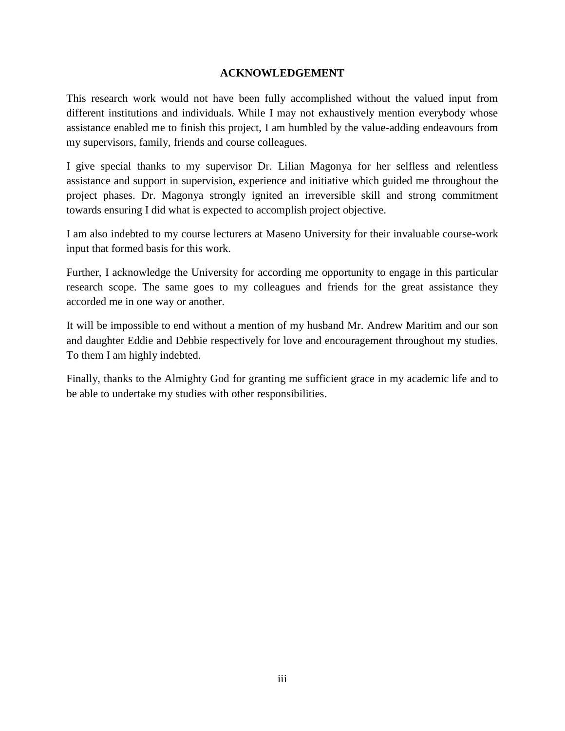# **ACKNOWLEDGEMENT**

<span id="page-2-0"></span>This research work would not have been fully accomplished without the valued input from different institutions and individuals. While I may not exhaustively mention everybody whose assistance enabled me to finish this project, I am humbled by the value-adding endeavours from my supervisors, family, friends and course colleagues.

I give special thanks to my supervisor Dr. Lilian Magonya for her selfless and relentless assistance and support in supervision, experience and initiative which guided me throughout the project phases. Dr. Magonya strongly ignited an irreversible skill and strong commitment towards ensuring I did what is expected to accomplish project objective.

I am also indebted to my course lecturers at Maseno University for their invaluable course-work input that formed basis for this work.

Further, I acknowledge the University for according me opportunity to engage in this particular research scope. The same goes to my colleagues and friends for the great assistance they accorded me in one way or another.

It will be impossible to end without a mention of my husband Mr. Andrew Maritim and our son and daughter Eddie and Debbie respectively for love and encouragement throughout my studies. To them I am highly indebted.

Finally, thanks to the Almighty God for granting me sufficient grace in my academic life and to be able to undertake my studies with other responsibilities.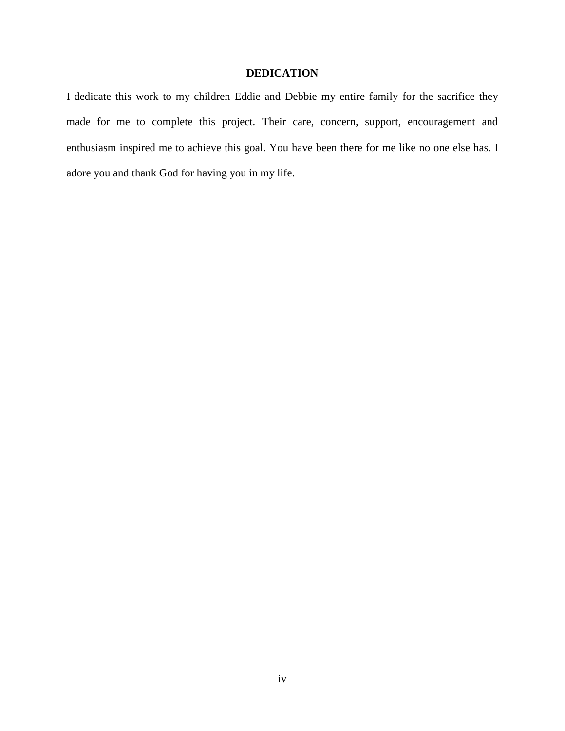# **DEDICATION**

<span id="page-3-0"></span>I dedicate this work to my children Eddie and Debbie my entire family for the sacrifice they made for me to complete this project. Their care, concern, support, encouragement and enthusiasm inspired me to achieve this goal. You have been there for me like no one else has. I adore you and thank God for having you in my life.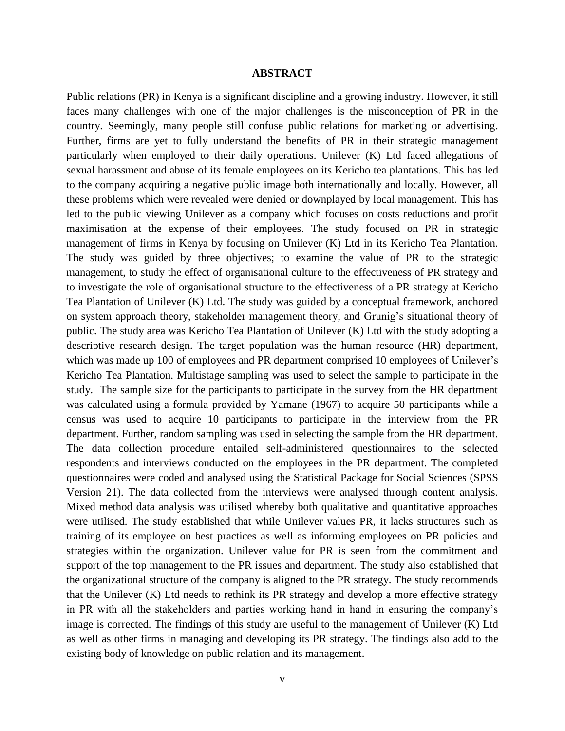## **ABSTRACT**

<span id="page-4-0"></span>Public relations (PR) in Kenya is a significant discipline and a growing industry. However, it still faces many challenges with one of the major challenges is the misconception of PR in the country. Seemingly, many people still confuse public relations for marketing or advertising. Further, firms are yet to fully understand the benefits of PR in their strategic management particularly when employed to their daily operations. Unilever (K) Ltd faced allegations of sexual harassment and abuse of its female employees on its Kericho tea plantations. This has led to the company acquiring a negative public image both internationally and locally. However, all these problems which were revealed were denied or downplayed by local management. This has led to the public viewing Unilever as a company which focuses on costs reductions and profit maximisation at the expense of their employees. The study focused on PR in strategic management of firms in Kenya by focusing on Unilever (K) Ltd in its Kericho Tea Plantation. The study was guided by three objectives; to examine the value of PR to the strategic management, to study the effect of organisational culture to the effectiveness of PR strategy and to investigate the role of organisational structure to the effectiveness of a PR strategy at Kericho Tea Plantation of Unilever (K) Ltd. The study was guided by a conceptual framework, anchored on system approach theory, stakeholder management theory, and Grunig's situational theory of public. The study area was Kericho Tea Plantation of Unilever (K) Ltd with the study adopting a descriptive research design. The target population was the human resource (HR) department, which was made up 100 of employees and PR department comprised 10 employees of Unilever's Kericho Tea Plantation. Multistage sampling was used to select the sample to participate in the study. The sample size for the participants to participate in the survey from the HR department was calculated using a formula provided by Yamane (1967) to acquire 50 participants while a census was used to acquire 10 participants to participate in the interview from the PR department. Further, random sampling was used in selecting the sample from the HR department. The data collection procedure entailed self-administered questionnaires to the selected respondents and interviews conducted on the employees in the PR department. The completed questionnaires were coded and analysed using the Statistical Package for Social Sciences (SPSS Version 21). The data collected from the interviews were analysed through content analysis. Mixed method data analysis was utilised whereby both qualitative and quantitative approaches were utilised. The study established that while Unilever values PR, it lacks structures such as training of its employee on best practices as well as informing employees on PR policies and strategies within the organization. Unilever value for PR is seen from the commitment and support of the top management to the PR issues and department. The study also established that the organizational structure of the company is aligned to the PR strategy. The study recommends that the Unilever (K) Ltd needs to rethink its PR strategy and develop a more effective strategy in PR with all the stakeholders and parties working hand in hand in ensuring the company's image is corrected. The findings of this study are useful to the management of Unilever (K) Ltd as well as other firms in managing and developing its PR strategy. The findings also add to the existing body of knowledge on public relation and its management.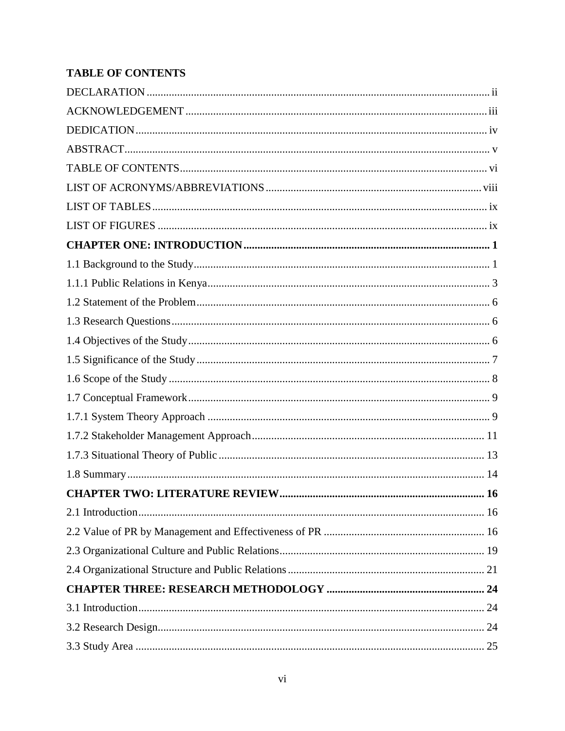# <span id="page-5-0"></span>**TABLE OF CONTENTS**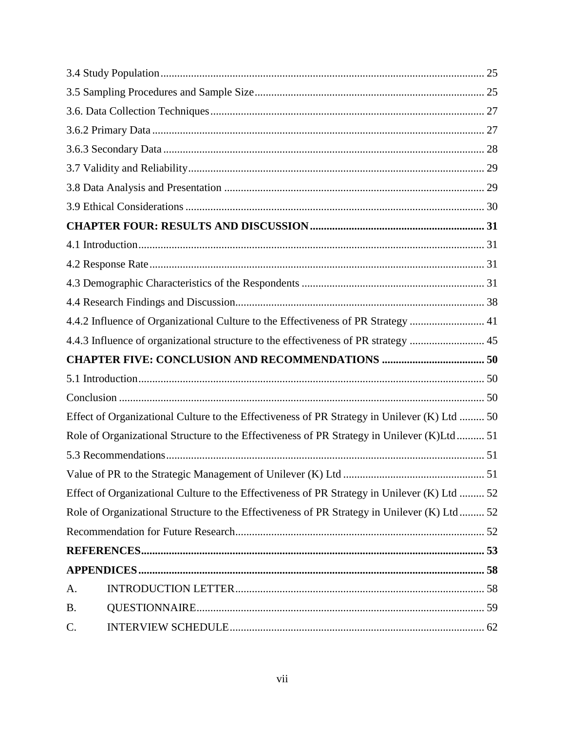<span id="page-6-0"></span>

|           | 4.4.2 Influence of Organizational Culture to the Effectiveness of PR Strategy  41            |  |
|-----------|----------------------------------------------------------------------------------------------|--|
|           | 4.4.3 Influence of organizational structure to the effectiveness of PR strategy  45          |  |
|           |                                                                                              |  |
|           |                                                                                              |  |
|           |                                                                                              |  |
|           |                                                                                              |  |
|           | Effect of Organizational Culture to the Effectiveness of PR Strategy in Unilever (K) Ltd  50 |  |
|           | Role of Organizational Structure to the Effectiveness of PR Strategy in Unilever (K)Ltd 51   |  |
|           |                                                                                              |  |
|           |                                                                                              |  |
|           | Effect of Organizational Culture to the Effectiveness of PR Strategy in Unilever (K) Ltd  52 |  |
|           | Role of Organizational Structure to the Effectiveness of PR Strategy in Unilever (K) Ltd 52  |  |
|           |                                                                                              |  |
|           |                                                                                              |  |
|           |                                                                                              |  |
| A.        |                                                                                              |  |
| <b>B.</b> |                                                                                              |  |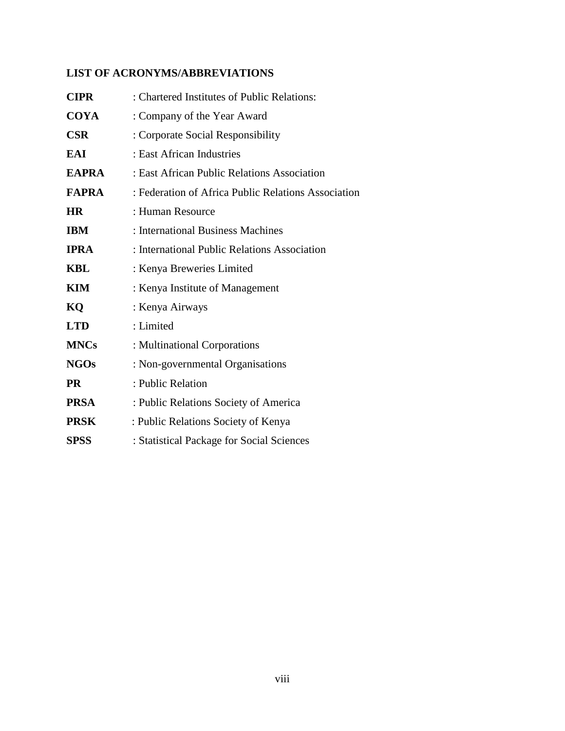# **LIST OF ACRONYMS/ABBREVIATIONS**

| <b>CIPR</b>  | : Chartered Institutes of Public Relations:         |
|--------------|-----------------------------------------------------|
| <b>COYA</b>  | : Company of the Year Award                         |
| <b>CSR</b>   | : Corporate Social Responsibility                   |
| EAI          | : East African Industries                           |
| <b>EAPRA</b> | : East African Public Relations Association         |
| <b>FAPRA</b> | : Federation of Africa Public Relations Association |
| <b>HR</b>    | : Human Resource                                    |
| <b>IBM</b>   | : International Business Machines                   |
| <b>IPRA</b>  | : International Public Relations Association        |
| <b>KBL</b>   | : Kenya Breweries Limited                           |
| KIM          | : Kenya Institute of Management                     |
| KQ           | : Kenya Airways                                     |
| <b>LTD</b>   | : Limited                                           |
| <b>MNCs</b>  | : Multinational Corporations                        |
| <b>NGOs</b>  | : Non-governmental Organisations                    |
| <b>PR</b>    | : Public Relation                                   |
| <b>PRSA</b>  | : Public Relations Society of America               |
| <b>PRSK</b>  | : Public Relations Society of Kenya                 |
| <b>SPSS</b>  | : Statistical Package for Social Sciences           |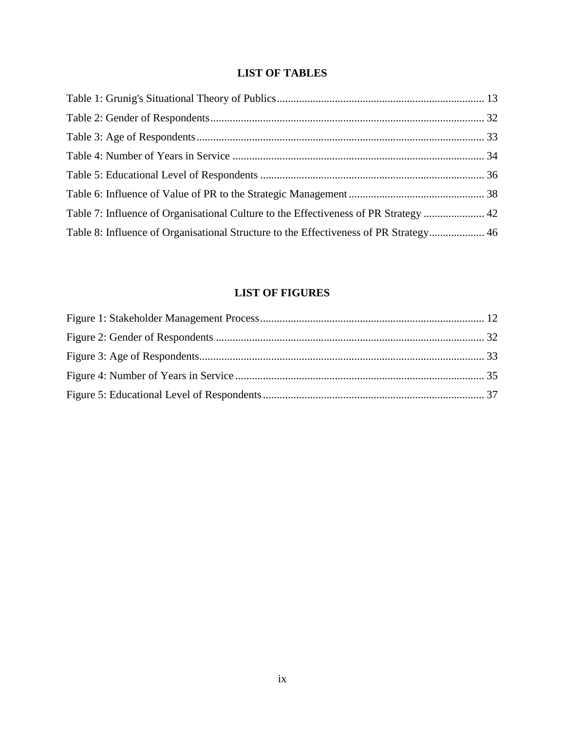# **LIST OF TABLES**

<span id="page-8-0"></span>

| Table 8: Influence of Organisational Structure to the Effectiveness of PR Strategy 46 |  |
|---------------------------------------------------------------------------------------|--|

# **LIST OF FIGURES**

<span id="page-8-1"></span>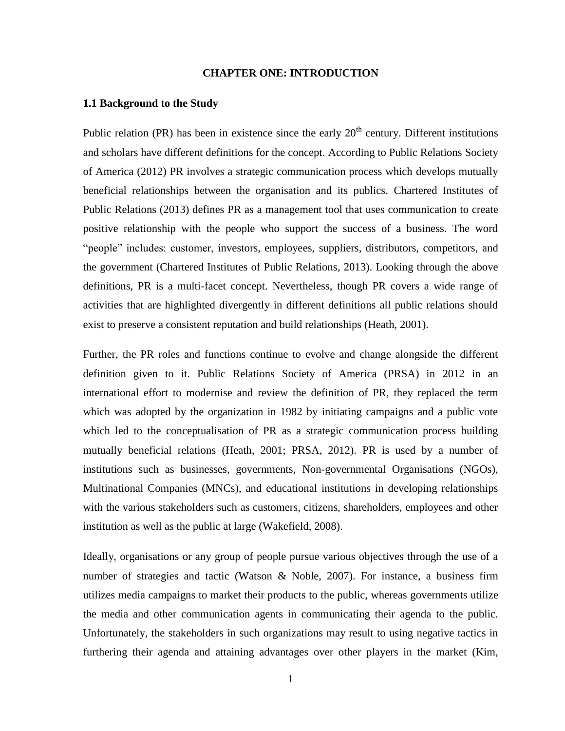# **CHAPTER ONE: INTRODUCTION**

## <span id="page-9-1"></span><span id="page-9-0"></span>**1.1 Background to the Study**

Public relation (PR) has been in existence since the early  $20<sup>th</sup>$  century. Different institutions and scholars have different definitions for the concept. According to Public Relations Society of America (2012) PR involves a strategic communication process which develops mutually beneficial relationships between the organisation and its publics. Chartered Institutes of Public Relations (2013) defines PR as a management tool that uses communication to create positive relationship with the people who support the success of a business. The word "people" includes: customer, investors, employees, suppliers, distributors, competitors, and the government (Chartered Institutes of Public Relations, 2013). Looking through the above definitions, PR is a multi-facet concept. Nevertheless, though PR covers a wide range of activities that are highlighted divergently in different definitions all public relations should exist to preserve a consistent reputation and build relationships (Heath, 2001).

Further, the PR roles and functions continue to evolve and change alongside the different definition given to it. Public Relations Society of America (PRSA) in 2012 in an international effort to modernise and review the definition of PR, they replaced the term which was adopted by the organization in 1982 by initiating campaigns and a public vote which led to the conceptualisation of PR as a strategic communication process building mutually beneficial relations (Heath, 2001; PRSA, 2012). PR is used by a number of institutions such as businesses, governments, Non-governmental Organisations (NGOs), Multinational Companies (MNCs), and educational institutions in developing relationships with the various stakeholders such as customers, citizens, shareholders, employees and other institution as well as the public at large (Wakefield, 2008).

Ideally, organisations or any group of people pursue various objectives through the use of a number of strategies and tactic (Watson & Noble, 2007). For instance, a business firm utilizes media campaigns to market their products to the public, whereas governments utilize the media and other communication agents in communicating their agenda to the public. Unfortunately, the stakeholders in such organizations may result to using negative tactics in furthering their agenda and attaining advantages over other players in the market (Kim,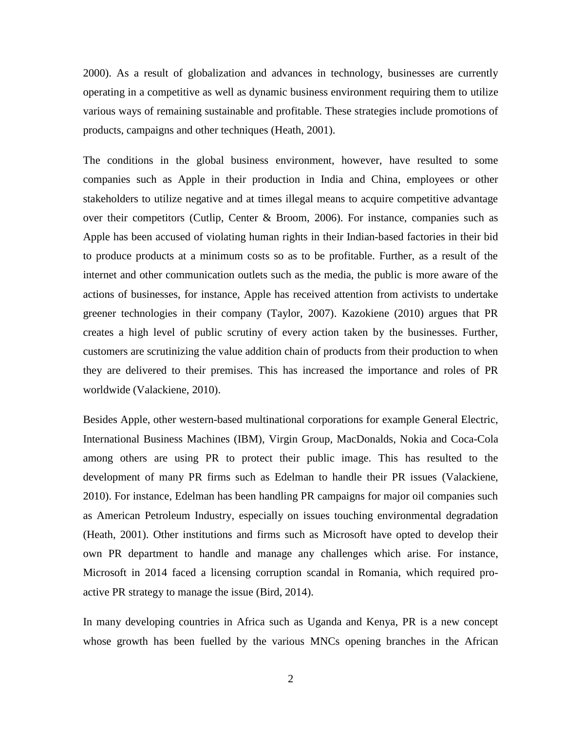2000). As a result of globalization and advances in technology, businesses are currently operating in a competitive as well as dynamic business environment requiring them to utilize various ways of remaining sustainable and profitable. These strategies include promotions of products, campaigns and other techniques (Heath, 2001).

The conditions in the global business environment, however, have resulted to some companies such as Apple in their production in India and China, employees or other stakeholders to utilize negative and at times illegal means to acquire competitive advantage over their competitors (Cutlip, Center & Broom, 2006). For instance, companies such as Apple has been accused of violating human rights in their Indian-based factories in their bid to produce products at a minimum costs so as to be profitable. Further, as a result of the internet and other communication outlets such as the media, the public is more aware of the actions of businesses, for instance, Apple has received attention from activists to undertake greener technologies in their company (Taylor, 2007). Kazokiene (2010) argues that PR creates a high level of public scrutiny of every action taken by the businesses. Further, customers are scrutinizing the value addition chain of products from their production to when they are delivered to their premises. This has increased the importance and roles of PR worldwide (Valackiene, 2010).

Besides Apple, other western-based multinational corporations for example General Electric, International Business Machines (IBM), Virgin Group, MacDonalds, Nokia and Coca-Cola among others are using PR to protect their public image. This has resulted to the development of many PR firms such as Edelman to handle their PR issues (Valackiene, 2010). For instance, Edelman has been handling PR campaigns for major oil companies such as American Petroleum Industry, especially on issues touching environmental degradation (Heath, 2001). Other institutions and firms such as Microsoft have opted to develop their own PR department to handle and manage any challenges which arise. For instance, Microsoft in 2014 faced a licensing corruption scandal in Romania, which required proactive PR strategy to manage the issue (Bird, 2014).

In many developing countries in Africa such as Uganda and Kenya, PR is a new concept whose growth has been fuelled by the various MNCs opening branches in the African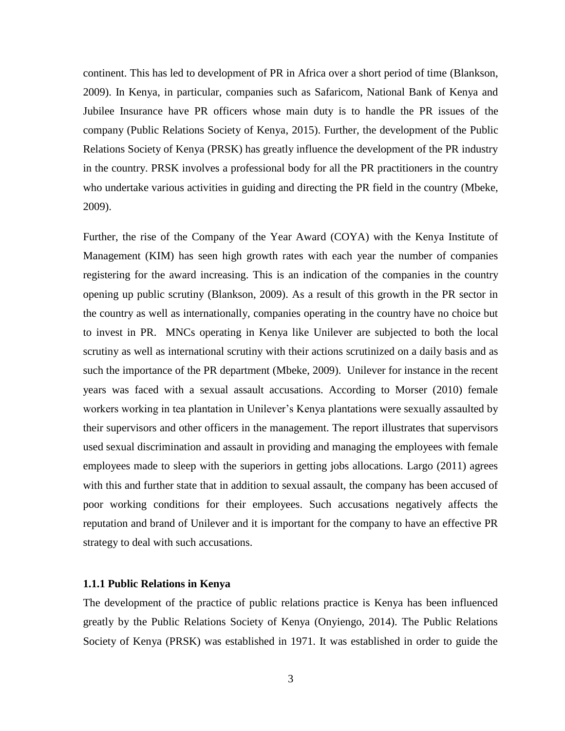continent. This has led to development of PR in Africa over a short period of time (Blankson, 2009). In Kenya, in particular, companies such as Safaricom, National Bank of Kenya and Jubilee Insurance have PR officers whose main duty is to handle the PR issues of the company (Public Relations Society of Kenya, 2015). Further, the development of the Public Relations Society of Kenya (PRSK) has greatly influence the development of the PR industry in the country. PRSK involves a professional body for all the PR practitioners in the country who undertake various activities in guiding and directing the PR field in the country (Mbeke, 2009).

Further, the rise of the Company of the Year Award (COYA) with the Kenya Institute of Management (KIM) has seen high growth rates with each year the number of companies registering for the award increasing. This is an indication of the companies in the country opening up public scrutiny (Blankson, 2009). As a result of this growth in the PR sector in the country as well as internationally, companies operating in the country have no choice but to invest in PR. MNCs operating in Kenya like Unilever are subjected to both the local scrutiny as well as international scrutiny with their actions scrutinized on a daily basis and as such the importance of the PR department (Mbeke, 2009). Unilever for instance in the recent years was faced with a sexual assault accusations. According to Morser (2010) female workers working in tea plantation in Unilever's Kenya plantations were sexually assaulted by their supervisors and other officers in the management. The report illustrates that supervisors used sexual discrimination and assault in providing and managing the employees with female employees made to sleep with the superiors in getting jobs allocations. Largo (2011) agrees with this and further state that in addition to sexual assault, the company has been accused of poor working conditions for their employees. Such accusations negatively affects the reputation and brand of Unilever and it is important for the company to have an effective PR strategy to deal with such accusations.

#### <span id="page-11-0"></span>**1.1.1 Public Relations in Kenya**

The development of the practice of public relations practice is Kenya has been influenced greatly by the Public Relations Society of Kenya (Onyiengo, 2014). The Public Relations Society of Kenya (PRSK) was established in 1971. It was established in order to guide the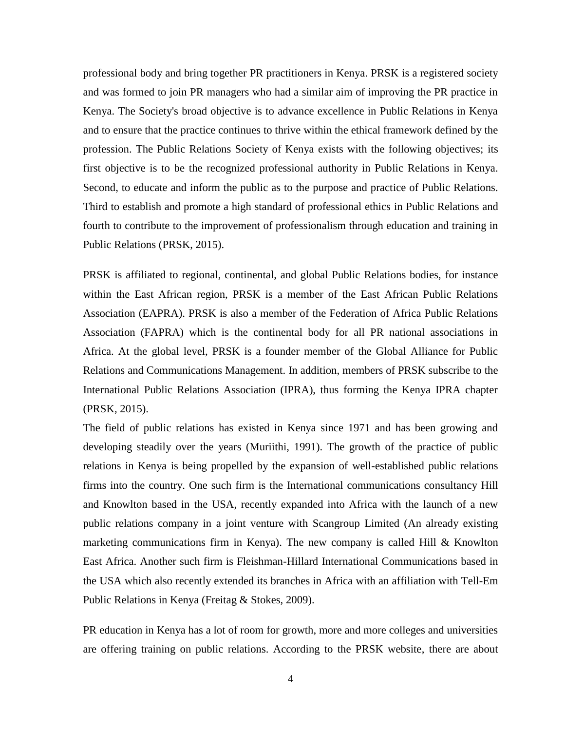professional body and bring together PR practitioners in Kenya. PRSK is a registered society and was formed to join PR managers who had a similar aim of improving the PR practice in Kenya. The Society's broad objective is to advance excellence in Public Relations in Kenya and to ensure that the practice continues to thrive within the ethical framework defined by the profession. The Public Relations Society of Kenya exists with the following objectives; its first objective is to be the recognized professional authority in Public Relations in Kenya. Second, to educate and inform the public as to the purpose and practice of Public Relations. Third to establish and promote a high standard of professional ethics in Public Relations and fourth to contribute to the improvement of professionalism through education and training in Public Relations (PRSK, 2015).

PRSK is affiliated to regional, continental, and global Public Relations bodies, for instance within the East African region, PRSK is a member of the East African Public Relations Association (EAPRA). PRSK is also a member of the Federation of Africa Public Relations Association (FAPRA) which is the continental body for all PR national associations in Africa. At the global level, PRSK is a founder member of the Global Alliance for Public Relations and Communications Management. In addition, members of PRSK subscribe to the International Public Relations Association (IPRA), thus forming the Kenya IPRA chapter (PRSK, 2015).

The field of public relations has existed in Kenya since 1971 and has been growing and developing steadily over the years (Muriithi, 1991). The growth of the practice of public relations in Kenya is being propelled by the expansion of well-established public relations firms into the country. One such firm is the International communications consultancy Hill and Knowlton based in the USA, recently expanded into Africa with the launch of a new public relations company in a joint venture with Scangroup Limited (An already existing marketing communications firm in Kenya). The new company is called Hill & Knowlton East Africa. Another such firm is Fleishman-Hillard International Communications based in the USA which also recently extended its branches in Africa with an affiliation with Tell-Em Public Relations in Kenya (Freitag & Stokes, 2009).

PR education in Kenya has a lot of room for growth, more and more colleges and universities are offering training on public relations. According to the PRSK website, there are about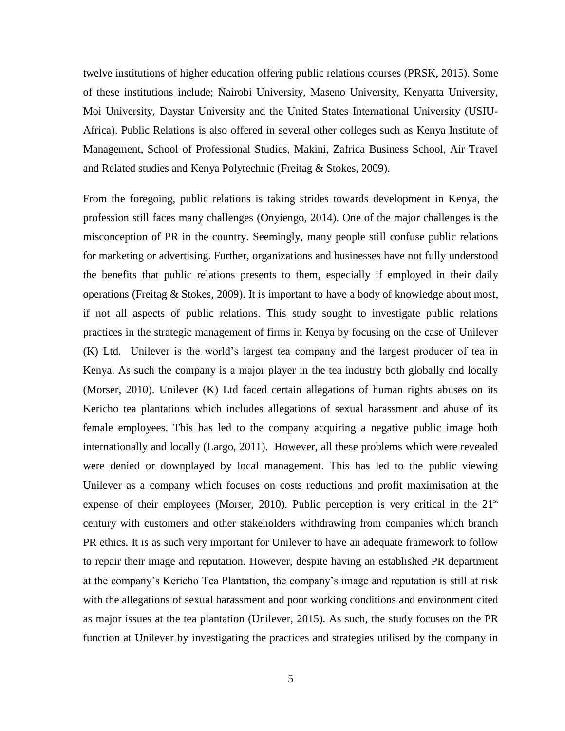twelve institutions of higher education offering public relations courses (PRSK, 2015). Some of these institutions include; Nairobi University, Maseno University, Kenyatta University, Moi University, Daystar University and the United States International University (USIU-Africa). Public Relations is also offered in several other colleges such as Kenya Institute of Management, School of Professional Studies, Makini, Zafrica Business School, Air Travel and Related studies and Kenya Polytechnic (Freitag & Stokes, 2009).

From the foregoing, public relations is taking strides towards development in Kenya, the profession still faces many challenges (Onyiengo, 2014). One of the major challenges is the misconception of PR in the country. Seemingly, many people still confuse public relations for marketing or advertising. Further, organizations and businesses have not fully understood the benefits that public relations presents to them, especially if employed in their daily operations (Freitag & Stokes, 2009). It is important to have a body of knowledge about most, if not all aspects of public relations. This study sought to investigate public relations practices in the strategic management of firms in Kenya by focusing on the case of Unilever (K) Ltd. Unilever is the world's largest tea company and the largest producer of tea in Kenya. As such the company is a major player in the tea industry both globally and locally (Morser, 2010). Unilever (K) Ltd faced certain allegations of human rights abuses on its Kericho tea plantations which includes allegations of sexual harassment and abuse of its female employees. This has led to the company acquiring a negative public image both internationally and locally (Largo, 2011). However, all these problems which were revealed were denied or downplayed by local management. This has led to the public viewing Unilever as a company which focuses on costs reductions and profit maximisation at the expense of their employees (Morser, 2010). Public perception is very critical in the  $21<sup>st</sup>$ century with customers and other stakeholders withdrawing from companies which branch PR ethics. It is as such very important for Unilever to have an adequate framework to follow to repair their image and reputation. However, despite having an established PR department at the company's Kericho Tea Plantation, the company's image and reputation is still at risk with the allegations of sexual harassment and poor working conditions and environment cited as major issues at the tea plantation (Unilever, 2015). As such, the study focuses on the PR function at Unilever by investigating the practices and strategies utilised by the company in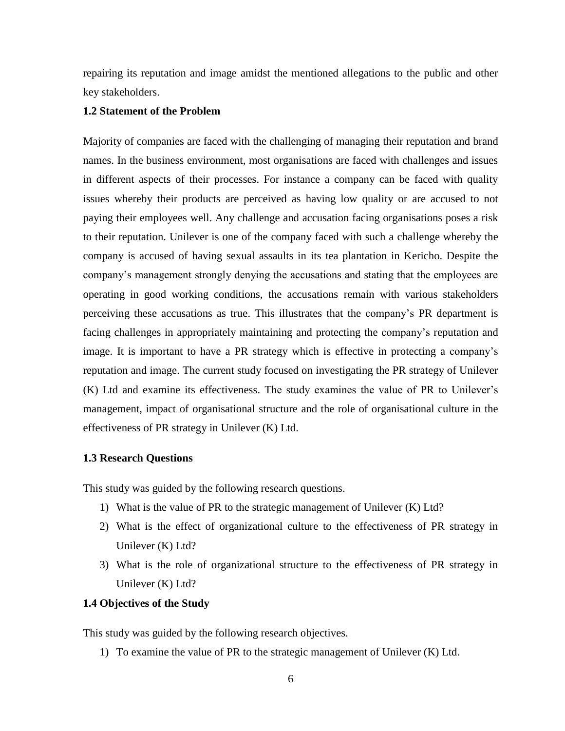repairing its reputation and image amidst the mentioned allegations to the public and other key stakeholders.

# <span id="page-14-0"></span>**1.2 Statement of the Problem**

Majority of companies are faced with the challenging of managing their reputation and brand names. In the business environment, most organisations are faced with challenges and issues in different aspects of their processes. For instance a company can be faced with quality issues whereby their products are perceived as having low quality or are accused to not paying their employees well. Any challenge and accusation facing organisations poses a risk to their reputation. Unilever is one of the company faced with such a challenge whereby the company is accused of having sexual assaults in its tea plantation in Kericho. Despite the company's management strongly denying the accusations and stating that the employees are operating in good working conditions, the accusations remain with various stakeholders perceiving these accusations as true. This illustrates that the company's PR department is facing challenges in appropriately maintaining and protecting the company's reputation and image. It is important to have a PR strategy which is effective in protecting a company's reputation and image. The current study focused on investigating the PR strategy of Unilever (K) Ltd and examine its effectiveness. The study examines the value of PR to Unilever's management, impact of organisational structure and the role of organisational culture in the effectiveness of PR strategy in Unilever (K) Ltd.

# <span id="page-14-1"></span>**1.3 Research Questions**

This study was guided by the following research questions.

- 1) What is the value of PR to the strategic management of Unilever (K) Ltd?
- 2) What is the effect of organizational culture to the effectiveness of PR strategy in Unilever (K) Ltd?
- 3) What is the role of organizational structure to the effectiveness of PR strategy in Unilever (K) Ltd?

# <span id="page-14-2"></span>**1.4 Objectives of the Study**

This study was guided by the following research objectives.

1) To examine the value of PR to the strategic management of Unilever (K) Ltd.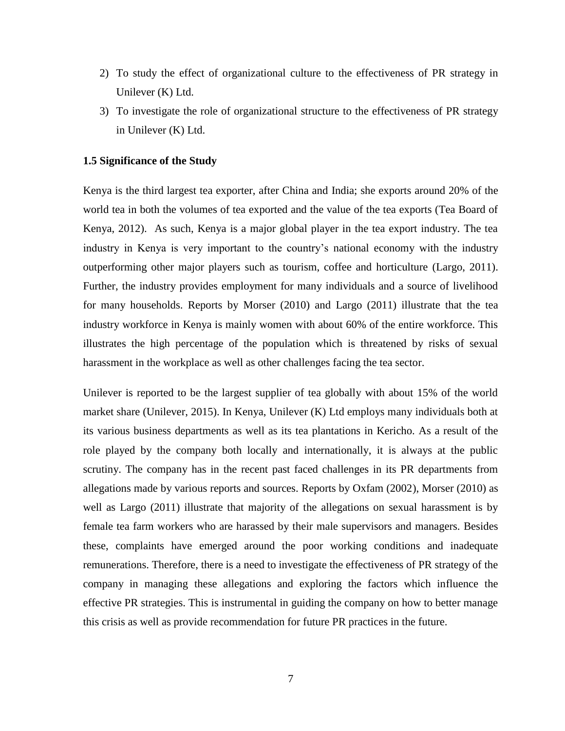- 2) To study the effect of organizational culture to the effectiveness of PR strategy in Unilever (K) Ltd.
- 3) To investigate the role of organizational structure to the effectiveness of PR strategy in Unilever (K) Ltd.

#### <span id="page-15-0"></span>**1.5 Significance of the Study**

Kenya is the third largest tea exporter, after China and India; she exports around 20% of the world tea in both the volumes of tea exported and the value of the tea exports (Tea Board of Kenya, 2012). As such, Kenya is a major global player in the tea export industry. The tea industry in Kenya is very important to the country's national economy with the industry outperforming other major players such as tourism, coffee and horticulture (Largo, 2011). Further, the industry provides employment for many individuals and a source of livelihood for many households. Reports by Morser (2010) and Largo (2011) illustrate that the tea industry workforce in Kenya is mainly women with about 60% of the entire workforce. This illustrates the high percentage of the population which is threatened by risks of sexual harassment in the workplace as well as other challenges facing the tea sector.

Unilever is reported to be the largest supplier of tea globally with about 15% of the world market share (Unilever, 2015). In Kenya, Unilever (K) Ltd employs many individuals both at its various business departments as well as its tea plantations in Kericho. As a result of the role played by the company both locally and internationally, it is always at the public scrutiny. The company has in the recent past faced challenges in its PR departments from allegations made by various reports and sources. Reports by Oxfam (2002), Morser (2010) as well as Largo (2011) illustrate that majority of the allegations on sexual harassment is by female tea farm workers who are harassed by their male supervisors and managers. Besides these, complaints have emerged around the poor working conditions and inadequate remunerations. Therefore, there is a need to investigate the effectiveness of PR strategy of the company in managing these allegations and exploring the factors which influence the effective PR strategies. This is instrumental in guiding the company on how to better manage this crisis as well as provide recommendation for future PR practices in the future.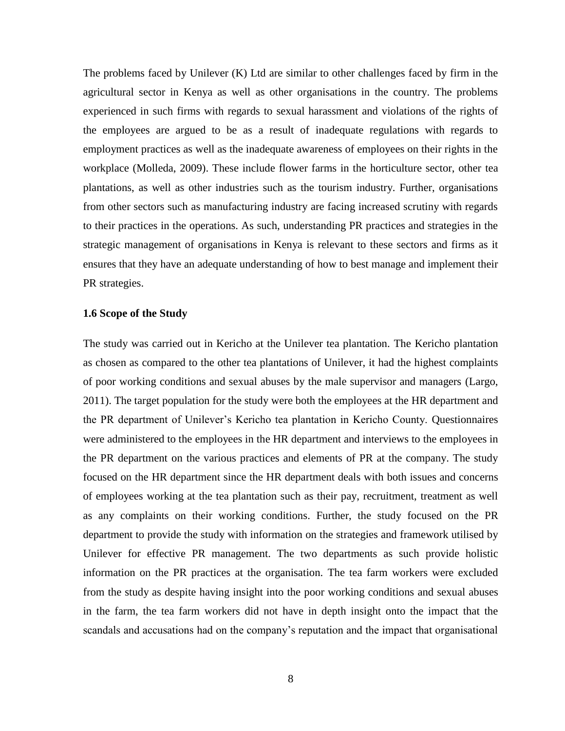The problems faced by Unilever (K) Ltd are similar to other challenges faced by firm in the agricultural sector in Kenya as well as other organisations in the country. The problems experienced in such firms with regards to sexual harassment and violations of the rights of the employees are argued to be as a result of inadequate regulations with regards to employment practices as well as the inadequate awareness of employees on their rights in the workplace (Molleda, 2009). These include flower farms in the horticulture sector, other tea plantations, as well as other industries such as the tourism industry. Further, organisations from other sectors such as manufacturing industry are facing increased scrutiny with regards to their practices in the operations. As such, understanding PR practices and strategies in the strategic management of organisations in Kenya is relevant to these sectors and firms as it ensures that they have an adequate understanding of how to best manage and implement their PR strategies.

#### <span id="page-16-0"></span>**1.6 Scope of the Study**

The study was carried out in Kericho at the Unilever tea plantation. The Kericho plantation as chosen as compared to the other tea plantations of Unilever, it had the highest complaints of poor working conditions and sexual abuses by the male supervisor and managers (Largo, 2011). The target population for the study were both the employees at the HR department and the PR department of Unilever's Kericho tea plantation in Kericho County. Questionnaires were administered to the employees in the HR department and interviews to the employees in the PR department on the various practices and elements of PR at the company. The study focused on the HR department since the HR department deals with both issues and concerns of employees working at the tea plantation such as their pay, recruitment, treatment as well as any complaints on their working conditions. Further, the study focused on the PR department to provide the study with information on the strategies and framework utilised by Unilever for effective PR management. The two departments as such provide holistic information on the PR practices at the organisation. The tea farm workers were excluded from the study as despite having insight into the poor working conditions and sexual abuses in the farm, the tea farm workers did not have in depth insight onto the impact that the scandals and accusations had on the company's reputation and the impact that organisational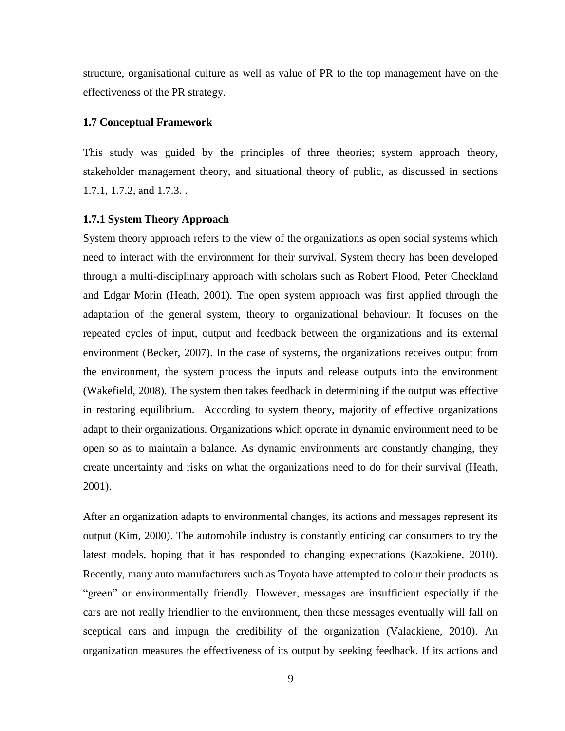structure, organisational culture as well as value of PR to the top management have on the effectiveness of the PR strategy.

## <span id="page-17-0"></span>**1.7 Conceptual Framework**

This study was guided by the principles of three theories; system approach theory, stakeholder management theory, and situational theory of public, as discussed in sections 1.7.1, 1.7.2, and 1.7.3. .

#### <span id="page-17-1"></span>**1.7.1 System Theory Approach**

System theory approach refers to the view of the organizations as open social systems which need to interact with the environment for their survival. System theory has been developed through a multi-disciplinary approach with scholars such as Robert Flood, Peter Checkland and Edgar Morin (Heath, 2001). The open system approach was first applied through the adaptation of the general system, theory to organizational behaviour. It focuses on the repeated cycles of input, output and feedback between the organizations and its external environment (Becker, 2007). In the case of systems, the organizations receives output from the environment, the system process the inputs and release outputs into the environment (Wakefield, 2008). The system then takes feedback in determining if the output was effective in restoring equilibrium. According to system theory, majority of effective organizations adapt to their organizations. Organizations which operate in dynamic environment need to be open so as to maintain a balance. As dynamic environments are constantly changing, they create uncertainty and risks on what the organizations need to do for their survival (Heath, 2001).

After an organization adapts to environmental changes, its actions and messages represent its output (Kim, 2000). The automobile industry is constantly enticing car consumers to try the latest models, hoping that it has responded to changing expectations (Kazokiene, 2010). Recently, many auto manufacturers such as Toyota have attempted to colour their products as "green" or environmentally friendly. However, messages are insufficient especially if the cars are not really friendlier to the environment, then these messages eventually will fall on sceptical ears and impugn the credibility of the organization (Valackiene, 2010). An organization measures the effectiveness of its output by seeking feedback. If its actions and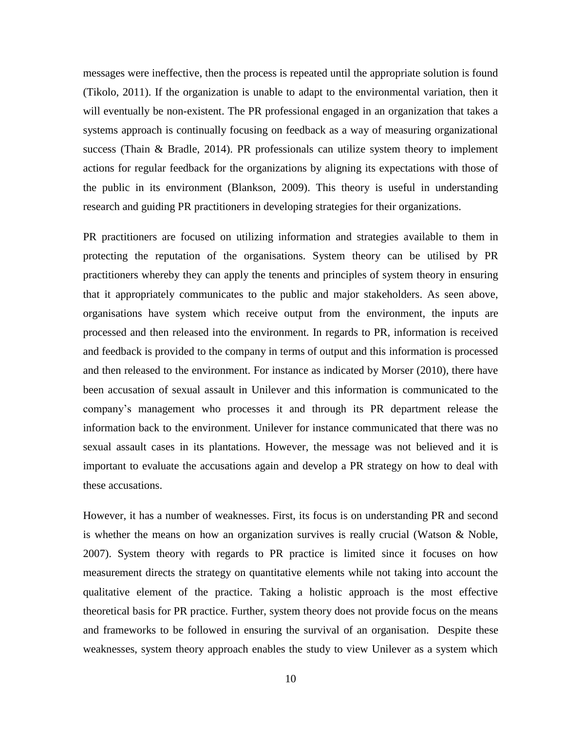messages were ineffective, then the process is repeated until the appropriate solution is found (Tikolo, 2011). If the organization is unable to adapt to the environmental variation, then it will eventually be non-existent. The PR professional engaged in an organization that takes a systems approach is continually focusing on feedback as a way of measuring organizational success (Thain & Bradle, 2014). PR professionals can utilize system theory to implement actions for regular feedback for the organizations by aligning its expectations with those of the public in its environment (Blankson, 2009). This theory is useful in understanding research and guiding PR practitioners in developing strategies for their organizations.

PR practitioners are focused on utilizing information and strategies available to them in protecting the reputation of the organisations. System theory can be utilised by PR practitioners whereby they can apply the tenents and principles of system theory in ensuring that it appropriately communicates to the public and major stakeholders. As seen above, organisations have system which receive output from the environment, the inputs are processed and then released into the environment. In regards to PR, information is received and feedback is provided to the company in terms of output and this information is processed and then released to the environment. For instance as indicated by Morser (2010), there have been accusation of sexual assault in Unilever and this information is communicated to the company's management who processes it and through its PR department release the information back to the environment. Unilever for instance communicated that there was no sexual assault cases in its plantations. However, the message was not believed and it is important to evaluate the accusations again and develop a PR strategy on how to deal with these accusations.

However, it has a number of weaknesses. First, its focus is on understanding PR and second is whether the means on how an organization survives is really crucial (Watson & Noble, 2007). System theory with regards to PR practice is limited since it focuses on how measurement directs the strategy on quantitative elements while not taking into account the qualitative element of the practice. Taking a holistic approach is the most effective theoretical basis for PR practice. Further, system theory does not provide focus on the means and frameworks to be followed in ensuring the survival of an organisation. Despite these weaknesses, system theory approach enables the study to view Unilever as a system which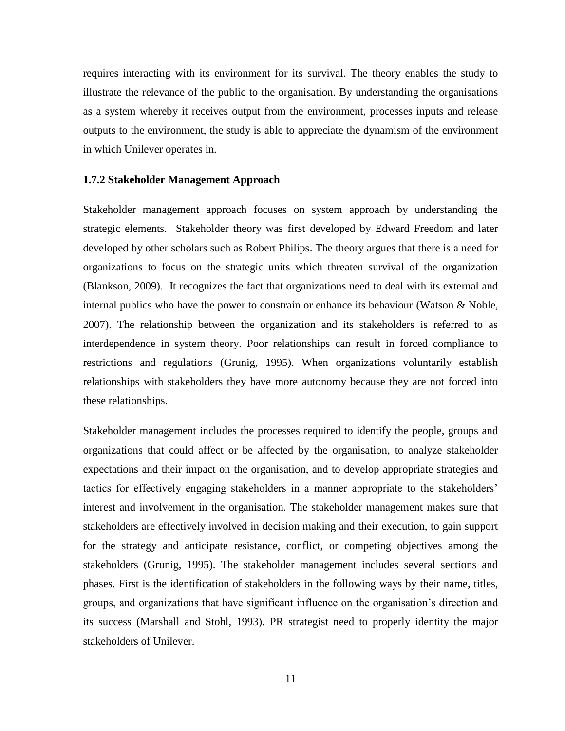requires interacting with its environment for its survival. The theory enables the study to illustrate the relevance of the public to the organisation. By understanding the organisations as a system whereby it receives output from the environment, processes inputs and release outputs to the environment, the study is able to appreciate the dynamism of the environment in which Unilever operates in.

#### <span id="page-19-0"></span>**1.7.2 Stakeholder Management Approach**

Stakeholder management approach focuses on system approach by understanding the strategic elements. Stakeholder theory was first developed by Edward Freedom and later developed by other scholars such as Robert Philips. The theory argues that there is a need for organizations to focus on the strategic units which threaten survival of the organization (Blankson, 2009). It recognizes the fact that organizations need to deal with its external and internal publics who have the power to constrain or enhance its behaviour (Watson & Noble, 2007). The relationship between the organization and its stakeholders is referred to as interdependence in system theory. Poor relationships can result in forced compliance to restrictions and regulations (Grunig, 1995). When organizations voluntarily establish relationships with stakeholders they have more autonomy because they are not forced into these relationships.

Stakeholder management includes the processes required to identify the people, groups and organizations that could affect or be affected by the organisation, to analyze stakeholder expectations and their impact on the organisation, and to develop appropriate strategies and tactics for effectively engaging stakeholders in a manner appropriate to the stakeholders' interest and involvement in the organisation. The stakeholder management makes sure that stakeholders are effectively involved in decision making and their execution, to gain support for the strategy and anticipate resistance, conflict, or competing objectives among the stakeholders (Grunig, 1995). The stakeholder management includes several sections and phases. First is the identification of stakeholders in the following ways by their name, titles, groups, and organizations that have significant influence on the organisation's direction and its success (Marshall and Stohl, 1993). PR strategist need to properly identity the major stakeholders of Unilever.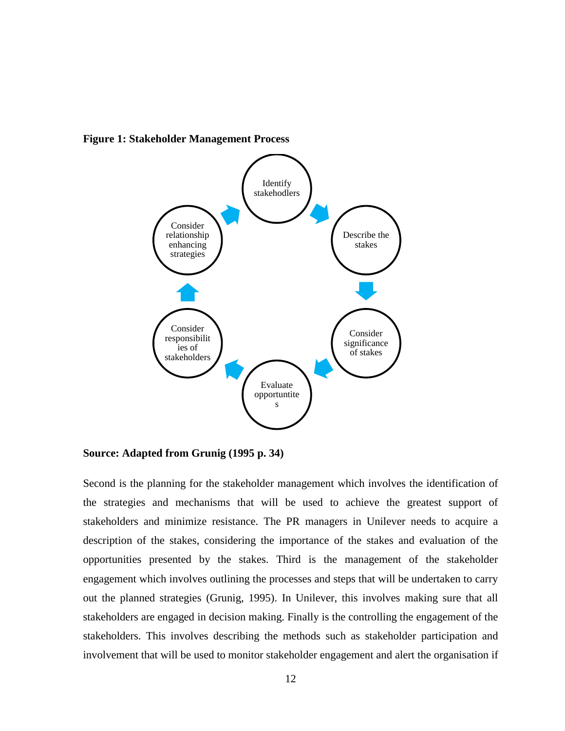

<span id="page-20-0"></span>**Figure 1: Stakeholder Management Process**

**Source: Adapted from Grunig (1995 p. 34)**

Second is the planning for the stakeholder management which involves the identification of the strategies and mechanisms that will be used to achieve the greatest support of stakeholders and minimize resistance. The PR managers in Unilever needs to acquire a description of the stakes, considering the importance of the stakes and evaluation of the opportunities presented by the stakes. Third is the management of the stakeholder engagement which involves outlining the processes and steps that will be undertaken to carry out the planned strategies (Grunig, 1995). In Unilever, this involves making sure that all stakeholders are engaged in decision making. Finally is the controlling the engagement of the stakeholders. This involves describing the methods such as stakeholder participation and involvement that will be used to monitor stakeholder engagement and alert the organisation if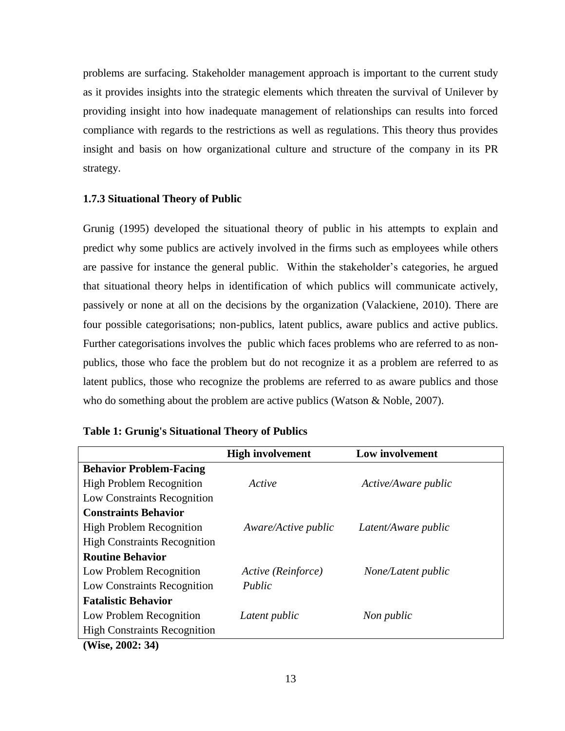problems are surfacing. Stakeholder management approach is important to the current study as it provides insights into the strategic elements which threaten the survival of Unilever by providing insight into how inadequate management of relationships can results into forced compliance with regards to the restrictions as well as regulations. This theory thus provides insight and basis on how organizational culture and structure of the company in its PR strategy.

# <span id="page-21-0"></span>**1.7.3 Situational Theory of Public**

Grunig (1995) developed the situational theory of public in his attempts to explain and predict why some publics are actively involved in the firms such as employees while others are passive for instance the general public. Within the stakeholder's categories, he argued that situational theory helps in identification of which publics will communicate actively, passively or none at all on the decisions by the organization (Valackiene, 2010). There are four possible categorisations; non-publics, latent publics, aware publics and active publics. Further categorisations involves the public which faces problems who are referred to as nonpublics, those who face the problem but do not recognize it as a problem are referred to as latent publics, those who recognize the problems are referred to as aware publics and those who do something about the problem are active publics (Watson & Noble, 2007).

|                                                                                      | <b>High involvement</b> | Low involvement     |
|--------------------------------------------------------------------------------------|-------------------------|---------------------|
| <b>Behavior Problem-Facing</b>                                                       |                         |                     |
| <b>High Problem Recognition</b>                                                      | Active                  | Active/Aware public |
| Low Constraints Recognition                                                          |                         |                     |
| <b>Constraints Behavior</b>                                                          |                         |                     |
| <b>High Problem Recognition</b>                                                      | Aware/Active public     | Latent/Aware public |
| <b>High Constraints Recognition</b>                                                  |                         |                     |
| <b>Routine Behavior</b>                                                              |                         |                     |
| Low Problem Recognition                                                              | Active (Reinforce)      | None/Latent public  |
| Low Constraints Recognition                                                          | Public                  |                     |
| <b>Fatalistic Behavior</b>                                                           |                         |                     |
| Low Problem Recognition                                                              | Latent public           | Non public          |
| <b>High Constraints Recognition</b>                                                  |                         |                     |
| $(TII_{\text{max}}^{\dagger} - \Delta A \Delta A_{\text{max}}^{\dagger} - \Delta A)$ |                         |                     |

<span id="page-21-1"></span>

|  |  | <b>Table 1: Grunig's Situational Theory of Publics</b> |  |  |
|--|--|--------------------------------------------------------|--|--|
|--|--|--------------------------------------------------------|--|--|

**(Wise, 2002: 34)**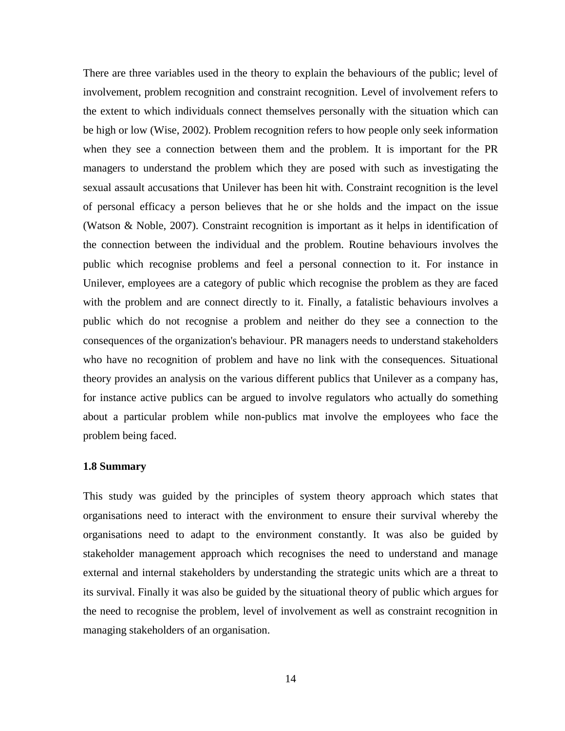There are three variables used in the theory to explain the behaviours of the public; level of involvement, problem recognition and constraint recognition. Level of involvement refers to the extent to which individuals connect themselves personally with the situation which can be high or low (Wise, 2002). Problem recognition refers to how people only seek information when they see a connection between them and the problem. It is important for the PR managers to understand the problem which they are posed with such as investigating the sexual assault accusations that Unilever has been hit with. Constraint recognition is the level of personal efficacy a person believes that he or she holds and the impact on the issue (Watson & Noble, 2007). Constraint recognition is important as it helps in identification of the connection between the individual and the problem. Routine behaviours involves the public which recognise problems and feel a personal connection to it. For instance in Unilever, employees are a category of public which recognise the problem as they are faced with the problem and are connect directly to it. Finally, a fatalistic behaviours involves a public which do not recognise a problem and neither do they see a connection to the consequences of the organization's behaviour. PR managers needs to understand stakeholders who have no recognition of problem and have no link with the consequences. Situational theory provides an analysis on the various different publics that Unilever as a company has, for instance active publics can be argued to involve regulators who actually do something about a particular problem while non-publics mat involve the employees who face the problem being faced.

# <span id="page-22-0"></span>**1.8 Summary**

This study was guided by the principles of system theory approach which states that organisations need to interact with the environment to ensure their survival whereby the organisations need to adapt to the environment constantly. It was also be guided by stakeholder management approach which recognises the need to understand and manage external and internal stakeholders by understanding the strategic units which are a threat to its survival. Finally it was also be guided by the situational theory of public which argues for the need to recognise the problem, level of involvement as well as constraint recognition in managing stakeholders of an organisation.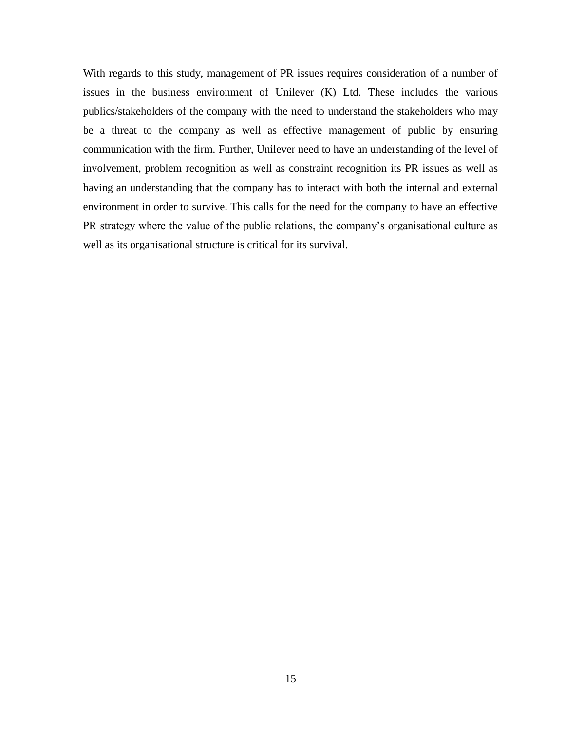With regards to this study, management of PR issues requires consideration of a number of issues in the business environment of Unilever (K) Ltd. These includes the various publics/stakeholders of the company with the need to understand the stakeholders who may be a threat to the company as well as effective management of public by ensuring communication with the firm. Further, Unilever need to have an understanding of the level of involvement, problem recognition as well as constraint recognition its PR issues as well as having an understanding that the company has to interact with both the internal and external environment in order to survive. This calls for the need for the company to have an effective PR strategy where the value of the public relations, the company's organisational culture as well as its organisational structure is critical for its survival.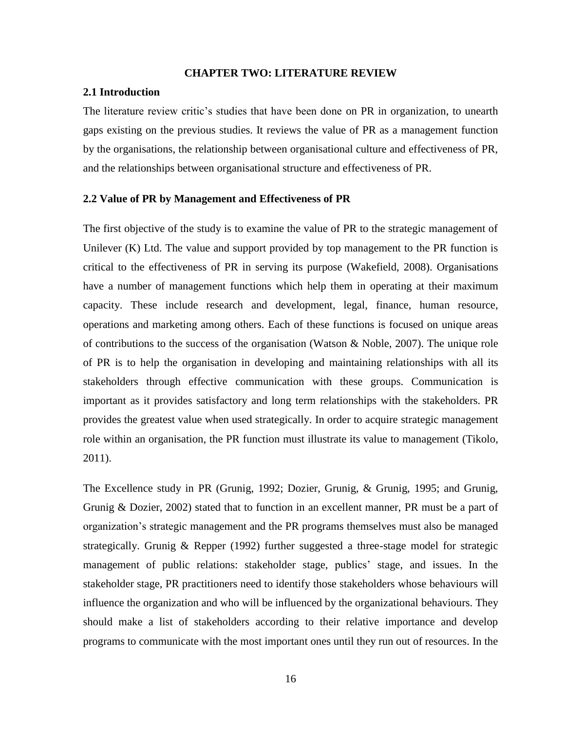#### **CHAPTER TWO: LITERATURE REVIEW**

# <span id="page-24-1"></span><span id="page-24-0"></span>**2.1 Introduction**

The literature review critic's studies that have been done on PR in organization, to unearth gaps existing on the previous studies. It reviews the value of PR as a management function by the organisations, the relationship between organisational culture and effectiveness of PR, and the relationships between organisational structure and effectiveness of PR.

## <span id="page-24-2"></span>**2.2 Value of PR by Management and Effectiveness of PR**

The first objective of the study is to examine the value of PR to the strategic management of Unilever  $(K)$  Ltd. The value and support provided by top management to the PR function is critical to the effectiveness of PR in serving its purpose (Wakefield, 2008). Organisations have a number of management functions which help them in operating at their maximum capacity. These include research and development, legal, finance, human resource, operations and marketing among others. Each of these functions is focused on unique areas of contributions to the success of the organisation (Watson & Noble, 2007). The unique role of PR is to help the organisation in developing and maintaining relationships with all its stakeholders through effective communication with these groups. Communication is important as it provides satisfactory and long term relationships with the stakeholders. PR provides the greatest value when used strategically. In order to acquire strategic management role within an organisation, the PR function must illustrate its value to management (Tikolo, 2011).

The Excellence study in PR (Grunig, 1992; Dozier, Grunig, & Grunig, 1995; and Grunig, Grunig & Dozier, 2002) stated that to function in an excellent manner, PR must be a part of organization's strategic management and the PR programs themselves must also be managed strategically. Grunig & Repper (1992) further suggested a three-stage model for strategic management of public relations: stakeholder stage, publics' stage, and issues. In the stakeholder stage, PR practitioners need to identify those stakeholders whose behaviours will influence the organization and who will be influenced by the organizational behaviours. They should make a list of stakeholders according to their relative importance and develop programs to communicate with the most important ones until they run out of resources. In the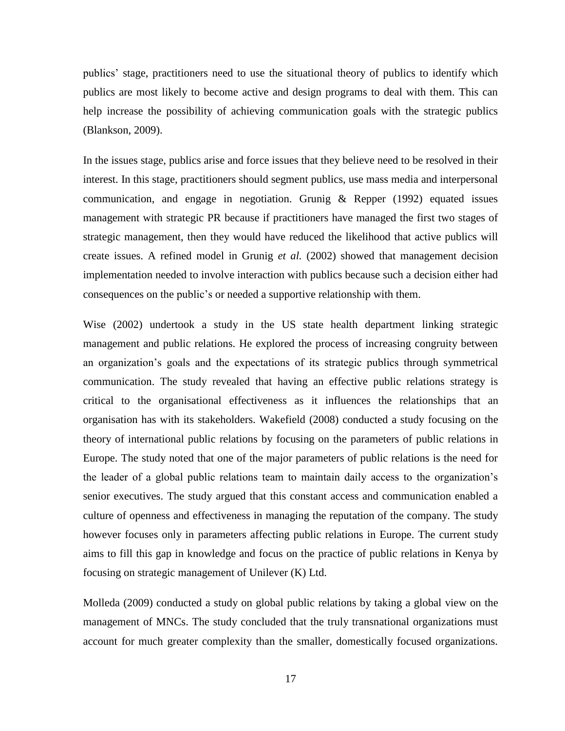publics' stage, practitioners need to use the situational theory of publics to identify which publics are most likely to become active and design programs to deal with them. This can help increase the possibility of achieving communication goals with the strategic publics (Blankson, 2009).

In the issues stage, publics arise and force issues that they believe need to be resolved in their interest. In this stage, practitioners should segment publics, use mass media and interpersonal communication, and engage in negotiation. Grunig & Repper (1992) equated issues management with strategic PR because if practitioners have managed the first two stages of strategic management, then they would have reduced the likelihood that active publics will create issues. A refined model in Grunig *et al.* (2002) showed that management decision implementation needed to involve interaction with publics because such a decision either had consequences on the public's or needed a supportive relationship with them.

Wise (2002) undertook a study in the US state health department linking strategic management and public relations. He explored the process of increasing congruity between an organization's goals and the expectations of its strategic publics through symmetrical communication. The study revealed that having an effective public relations strategy is critical to the organisational effectiveness as it influences the relationships that an organisation has with its stakeholders. Wakefield (2008) conducted a study focusing on the theory of international public relations by focusing on the parameters of public relations in Europe. The study noted that one of the major parameters of public relations is the need for the leader of a global public relations team to maintain daily access to the organization's senior executives. The study argued that this constant access and communication enabled a culture of openness and effectiveness in managing the reputation of the company. The study however focuses only in parameters affecting public relations in Europe. The current study aims to fill this gap in knowledge and focus on the practice of public relations in Kenya by focusing on strategic management of Unilever (K) Ltd.

Molleda (2009) conducted a study on global public relations by taking a global view on the management of MNCs. The study concluded that the truly transnational organizations must account for much greater complexity than the smaller, domestically focused organizations.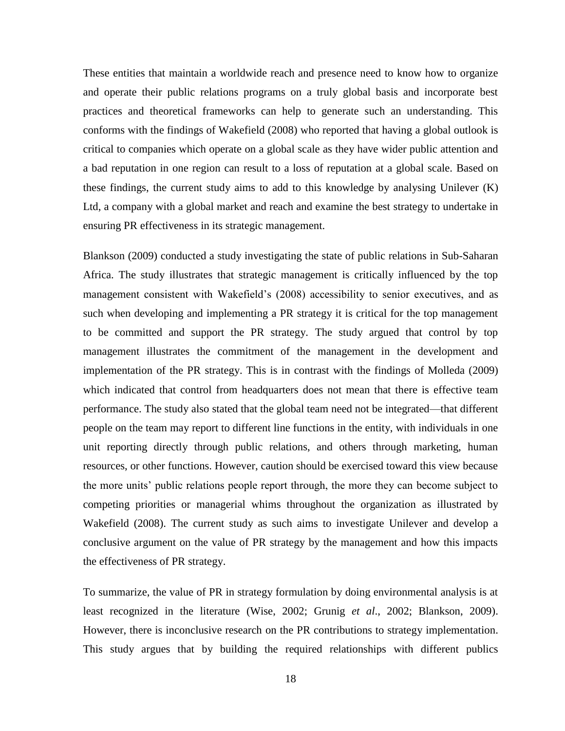These entities that maintain a worldwide reach and presence need to know how to organize and operate their public relations programs on a truly global basis and incorporate best practices and theoretical frameworks can help to generate such an understanding. This conforms with the findings of Wakefield (2008) who reported that having a global outlook is critical to companies which operate on a global scale as they have wider public attention and a bad reputation in one region can result to a loss of reputation at a global scale. Based on these findings, the current study aims to add to this knowledge by analysing Unilever (K) Ltd, a company with a global market and reach and examine the best strategy to undertake in ensuring PR effectiveness in its strategic management.

Blankson (2009) conducted a study investigating the state of public relations in Sub-Saharan Africa. The study illustrates that strategic management is critically influenced by the top management consistent with Wakefield's (2008) accessibility to senior executives, and as such when developing and implementing a PR strategy it is critical for the top management to be committed and support the PR strategy. The study argued that control by top management illustrates the commitment of the management in the development and implementation of the PR strategy. This is in contrast with the findings of Molleda (2009) which indicated that control from headquarters does not mean that there is effective team performance. The study also stated that the global team need not be integrated—that different people on the team may report to different line functions in the entity, with individuals in one unit reporting directly through public relations, and others through marketing, human resources, or other functions. However, caution should be exercised toward this view because the more units' public relations people report through, the more they can become subject to competing priorities or managerial whims throughout the organization as illustrated by Wakefield (2008). The current study as such aims to investigate Unilever and develop a conclusive argument on the value of PR strategy by the management and how this impacts the effectiveness of PR strategy.

To summarize, the value of PR in strategy formulation by doing environmental analysis is at least recognized in the literature (Wise, 2002; Grunig *et al*., 2002; Blankson, 2009). However, there is inconclusive research on the PR contributions to strategy implementation. This study argues that by building the required relationships with different publics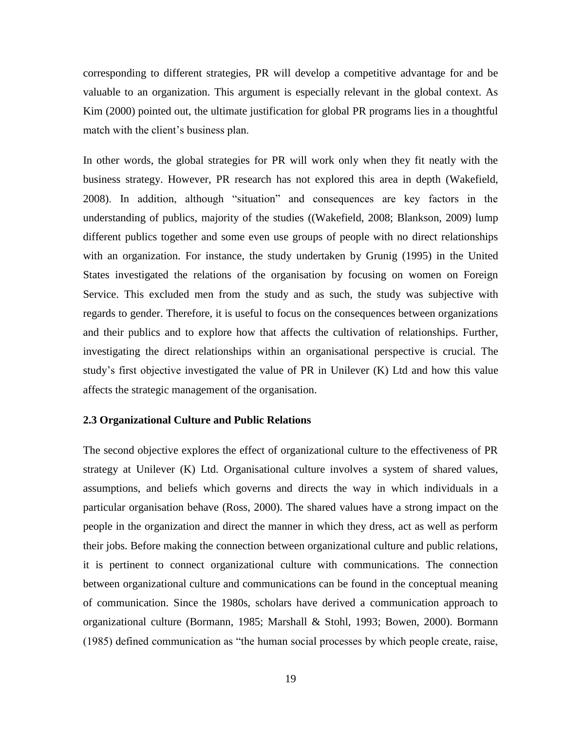corresponding to different strategies, PR will develop a competitive advantage for and be valuable to an organization. This argument is especially relevant in the global context. As Kim (2000) pointed out, the ultimate justification for global PR programs lies in a thoughtful match with the client's business plan.

In other words, the global strategies for PR will work only when they fit neatly with the business strategy. However, PR research has not explored this area in depth (Wakefield, 2008). In addition, although "situation" and consequences are key factors in the understanding of publics, majority of the studies ((Wakefield, 2008; Blankson, 2009) lump different publics together and some even use groups of people with no direct relationships with an organization. For instance, the study undertaken by Grunig (1995) in the United States investigated the relations of the organisation by focusing on women on Foreign Service. This excluded men from the study and as such, the study was subjective with regards to gender. Therefore, it is useful to focus on the consequences between organizations and their publics and to explore how that affects the cultivation of relationships. Further, investigating the direct relationships within an organisational perspective is crucial. The study's first objective investigated the value of PR in Unilever (K) Ltd and how this value affects the strategic management of the organisation.

#### <span id="page-27-0"></span>**2.3 Organizational Culture and Public Relations**

The second objective explores the effect of organizational culture to the effectiveness of PR strategy at Unilever (K) Ltd. Organisational culture involves a system of shared values, assumptions, and beliefs which governs and directs the way in which individuals in a particular organisation behave (Ross, 2000). The shared values have a strong impact on the people in the organization and direct the manner in which they dress, act as well as perform their jobs. Before making the connection between organizational culture and public relations, it is pertinent to connect organizational culture with communications. The connection between organizational culture and communications can be found in the conceptual meaning of communication. Since the 1980s, scholars have derived a communication approach to organizational culture (Bormann, 1985; Marshall & Stohl, 1993; Bowen, 2000). Bormann (1985) defined communication as "the human social processes by which people create, raise,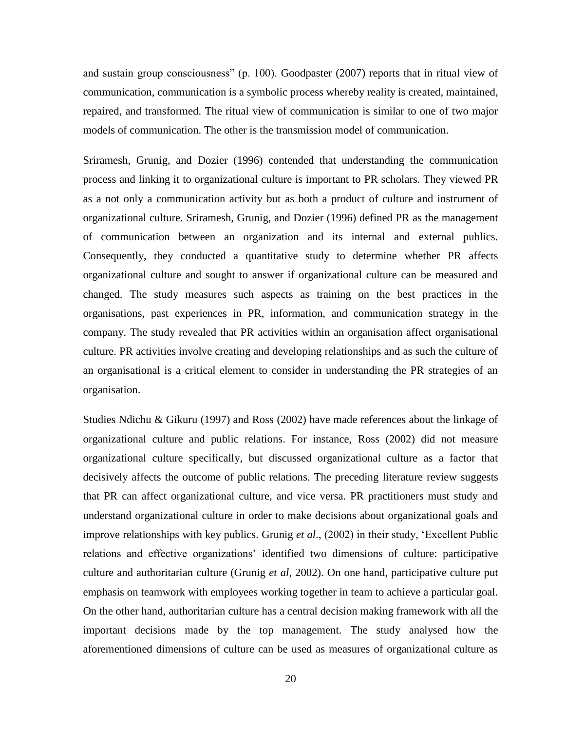and sustain group consciousness" (p. 100). Goodpaster  $(2007)$  reports that in ritual view of communication, communication is a symbolic process whereby reality is created, maintained, repaired, and transformed. The ritual view of communication is similar to one of two major models of communication. The other is the transmission model of communication.

Sriramesh, Grunig, and Dozier (1996) contended that understanding the communication process and linking it to organizational culture is important to PR scholars. They viewed PR as a not only a communication activity but as both a product of culture and instrument of organizational culture. Sriramesh, Grunig, and Dozier (1996) defined PR as the management of communication between an organization and its internal and external publics. Consequently, they conducted a quantitative study to determine whether PR affects organizational culture and sought to answer if organizational culture can be measured and changed. The study measures such aspects as training on the best practices in the organisations, past experiences in PR, information, and communication strategy in the company. The study revealed that PR activities within an organisation affect organisational culture. PR activities involve creating and developing relationships and as such the culture of an organisational is a critical element to consider in understanding the PR strategies of an organisation.

Studies Ndichu & Gikuru (1997) and Ross (2002) have made references about the linkage of organizational culture and public relations. For instance, Ross (2002) did not measure organizational culture specifically, but discussed organizational culture as a factor that decisively affects the outcome of public relations. The preceding literature review suggests that PR can affect organizational culture, and vice versa. PR practitioners must study and understand organizational culture in order to make decisions about organizational goals and improve relationships with key publics. Grunig *et al.*, (2002) in their study, 'Excellent Public relations and effective organizations' identified two dimensions of culture: participative culture and authoritarian culture (Grunig *et al*, 2002). On one hand, participative culture put emphasis on teamwork with employees working together in team to achieve a particular goal. On the other hand, authoritarian culture has a central decision making framework with all the important decisions made by the top management. The study analysed how the aforementioned dimensions of culture can be used as measures of organizational culture as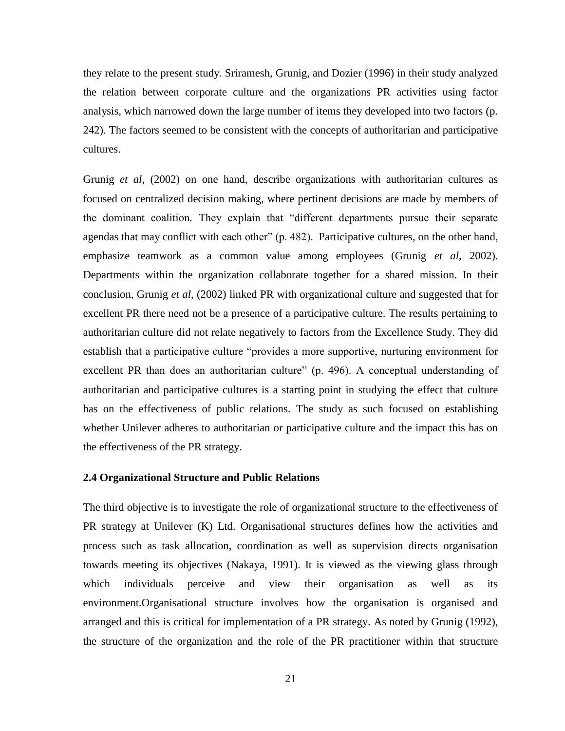they relate to the present study. Sriramesh, Grunig, and Dozier (1996) in their study analyzed the relation between corporate culture and the organizations PR activities using factor analysis, which narrowed down the large number of items they developed into two factors (p. 242). The factors seemed to be consistent with the concepts of authoritarian and participative cultures.

Grunig *et al*, (2002) on one hand, describe organizations with authoritarian cultures as focused on centralized decision making, where pertinent decisions are made by members of the dominant coalition. They explain that "different departments pursue their separate agendas that may conflict with each other"  $(p. 482)$ . Participative cultures, on the other hand, emphasize teamwork as a common value among employees (Grunig *et al*, 2002). Departments within the organization collaborate together for a shared mission. In their conclusion, Grunig *et al*, (2002) linked PR with organizational culture and suggested that for excellent PR there need not be a presence of a participative culture. The results pertaining to authoritarian culture did not relate negatively to factors from the Excellence Study. They did establish that a participative culture "provides a more supportive, nurturing environment for excellent PR than does an authoritarian culture" (p. 496). A conceptual understanding of authoritarian and participative cultures is a starting point in studying the effect that culture has on the effectiveness of public relations. The study as such focused on establishing whether Unilever adheres to authoritarian or participative culture and the impact this has on the effectiveness of the PR strategy.

## <span id="page-29-0"></span>**2.4 Organizational Structure and Public Relations**

The third objective is to investigate the role of organizational structure to the effectiveness of PR strategy at Unilever (K) Ltd. Organisational structures defines how the activities and process such as task allocation, coordination as well as supervision directs organisation towards meeting its objectives (Nakaya, 1991). It is viewed as the viewing glass through which individuals perceive and view their organisation as well as its environment.Organisational structure involves how the organisation is organised and arranged and this is critical for implementation of a PR strategy. As noted by Grunig (1992), the structure of the organization and the role of the PR practitioner within that structure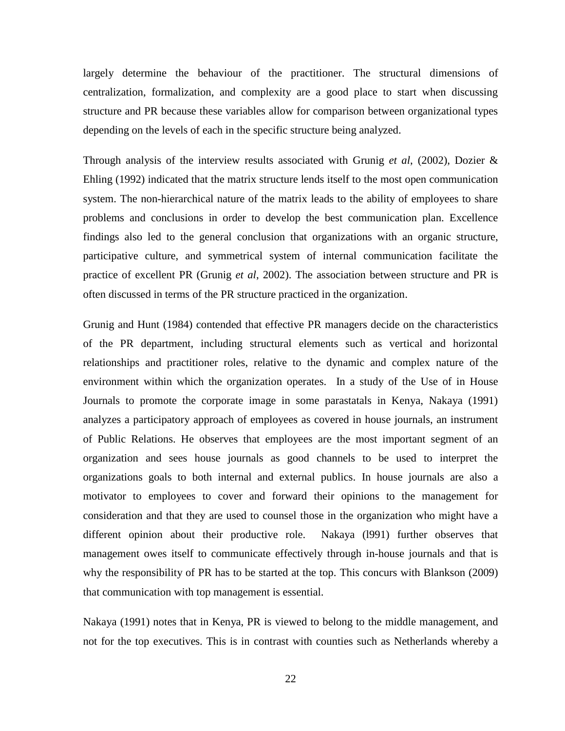largely determine the behaviour of the practitioner. The structural dimensions of centralization, formalization, and complexity are a good place to start when discussing structure and PR because these variables allow for comparison between organizational types depending on the levels of each in the specific structure being analyzed.

Through analysis of the interview results associated with Grunig *et al*, (2002), Dozier & Ehling (1992) indicated that the matrix structure lends itself to the most open communication system. The non-hierarchical nature of the matrix leads to the ability of employees to share problems and conclusions in order to develop the best communication plan. Excellence findings also led to the general conclusion that organizations with an organic structure, participative culture, and symmetrical system of internal communication facilitate the practice of excellent PR (Grunig *et al*, 2002). The association between structure and PR is often discussed in terms of the PR structure practiced in the organization.

Grunig and Hunt (1984) contended that effective PR managers decide on the characteristics of the PR department, including structural elements such as vertical and horizontal relationships and practitioner roles, relative to the dynamic and complex nature of the environment within which the organization operates. In a study of the Use of in House Journals to promote the corporate image in some parastatals in Kenya, Nakaya (1991) analyzes a participatory approach of employees as covered in house journals, an instrument of Public Relations. He observes that employees are the most important segment of an organization and sees house journals as good channels to be used to interpret the organizations goals to both internal and external publics. In house journals are also a motivator to employees to cover and forward their opinions to the management for consideration and that they are used to counsel those in the organization who might have a different opinion about their productive role. Nakaya (l991) further observes that management owes itself to communicate effectively through in-house journals and that is why the responsibility of PR has to be started at the top. This concurs with Blankson (2009) that communication with top management is essential.

Nakaya (1991) notes that in Kenya, PR is viewed to belong to the middle management, and not for the top executives. This is in contrast with counties such as Netherlands whereby a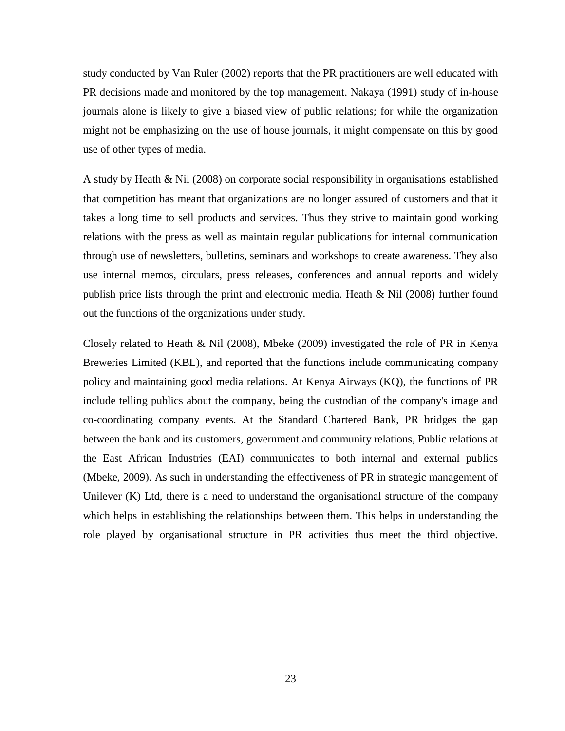study conducted by Van Ruler (2002) reports that the PR practitioners are well educated with PR decisions made and monitored by the top management. Nakaya (1991) study of in-house journals alone is likely to give a biased view of public relations; for while the organization might not be emphasizing on the use of house journals, it might compensate on this by good use of other types of media.

A study by Heath & Nil (2008) on corporate social responsibility in organisations established that competition has meant that organizations are no longer assured of customers and that it takes a long time to sell products and services. Thus they strive to maintain good working relations with the press as well as maintain regular publications for internal communication through use of newsletters, bulletins, seminars and workshops to create awareness. They also use internal memos, circulars, press releases, conferences and annual reports and widely publish price lists through the print and electronic media. Heath & Nil (2008) further found out the functions of the organizations under study.

Closely related to Heath & Nil (2008), Mbeke (2009) investigated the role of PR in Kenya Breweries Limited (KBL), and reported that the functions include communicating company policy and maintaining good media relations. At Kenya Airways (KQ), the functions of PR include telling publics about the company, being the custodian of the company's image and co-coordinating company events. At the Standard Chartered Bank, PR bridges the gap between the bank and its customers, government and community relations, Public relations at the East African Industries (EAI) communicates to both internal and external publics (Mbeke, 2009). As such in understanding the effectiveness of PR in strategic management of Unilever (K) Ltd, there is a need to understand the organisational structure of the company which helps in establishing the relationships between them. This helps in understanding the role played by organisational structure in PR activities thus meet the third objective.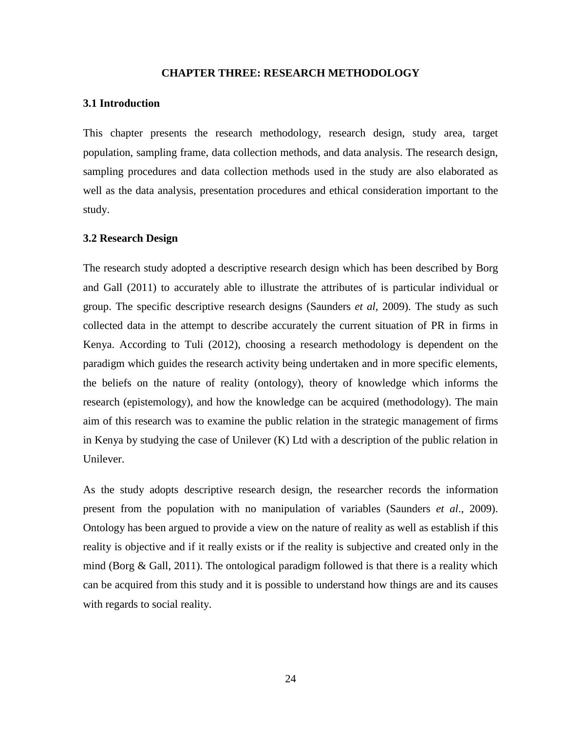## **CHAPTER THREE: RESEARCH METHODOLOGY**

#### <span id="page-32-1"></span><span id="page-32-0"></span>**3.1 Introduction**

This chapter presents the research methodology, research design, study area, target population, sampling frame, data collection methods, and data analysis. The research design, sampling procedures and data collection methods used in the study are also elaborated as well as the data analysis, presentation procedures and ethical consideration important to the study.

# <span id="page-32-2"></span>**3.2 Research Design**

The research study adopted a descriptive research design which has been described by Borg and Gall (2011) to accurately able to illustrate the attributes of is particular individual or group. The specific descriptive research designs (Saunders *et al,* 2009). The study as such collected data in the attempt to describe accurately the current situation of PR in firms in Kenya. According to Tuli (2012), choosing a research methodology is dependent on the paradigm which guides the research activity being undertaken and in more specific elements, the beliefs on the nature of reality (ontology), theory of knowledge which informs the research (epistemology), and how the knowledge can be acquired (methodology). The main aim of this research was to examine the public relation in the strategic management of firms in Kenya by studying the case of Unilever (K) Ltd with a description of the public relation in Unilever.

As the study adopts descriptive research design, the researcher records the information present from the population with no manipulation of variables (Saunders *et al*., 2009). Ontology has been argued to provide a view on the nature of reality as well as establish if this reality is objective and if it really exists or if the reality is subjective and created only in the mind (Borg  $\&$  Gall, 2011). The ontological paradigm followed is that there is a reality which can be acquired from this study and it is possible to understand how things are and its causes with regards to social reality.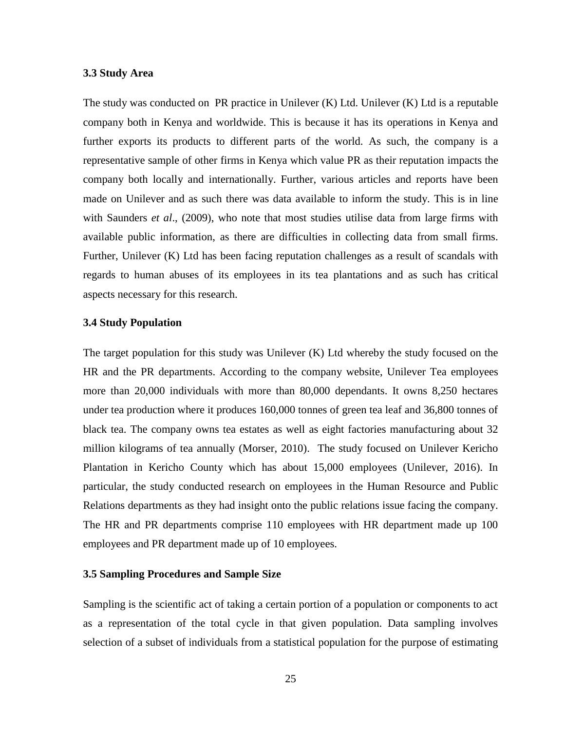#### <span id="page-33-0"></span>**3.3 Study Area**

The study was conducted on PR practice in Unilever (K) Ltd. Unilever (K) Ltd is a reputable company both in Kenya and worldwide. This is because it has its operations in Kenya and further exports its products to different parts of the world. As such, the company is a representative sample of other firms in Kenya which value PR as their reputation impacts the company both locally and internationally. Further, various articles and reports have been made on Unilever and as such there was data available to inform the study. This is in line with Saunders *et al*., (2009), who note that most studies utilise data from large firms with available public information, as there are difficulties in collecting data from small firms. Further, Unilever (K) Ltd has been facing reputation challenges as a result of scandals with regards to human abuses of its employees in its tea plantations and as such has critical aspects necessary for this research.

# <span id="page-33-1"></span>**3.4 Study Population**

The target population for this study was Unilever (K) Ltd whereby the study focused on the HR and the PR departments. According to the company website, Unilever Tea employees more than 20,000 individuals with more than 80,000 dependants. It owns 8,250 hectares under tea production where it produces 160,000 tonnes of green tea leaf and 36,800 tonnes of black tea. The company owns tea estates as well as eight factories manufacturing about 32 million kilograms of tea annually (Morser, 2010). The study focused on Unilever Kericho Plantation in Kericho County which has about 15,000 employees (Unilever, 2016). In particular, the study conducted research on employees in the Human Resource and Public Relations departments as they had insight onto the public relations issue facing the company. The HR and PR departments comprise 110 employees with HR department made up 100 employees and PR department made up of 10 employees.

# <span id="page-33-2"></span>**3.5 Sampling Procedures and Sample Size**

Sampling is the scientific act of taking a certain portion of a population or components to act as a representation of the total cycle in that given population. Data sampling involves selection of a subset of individuals from a statistical population for the purpose of estimating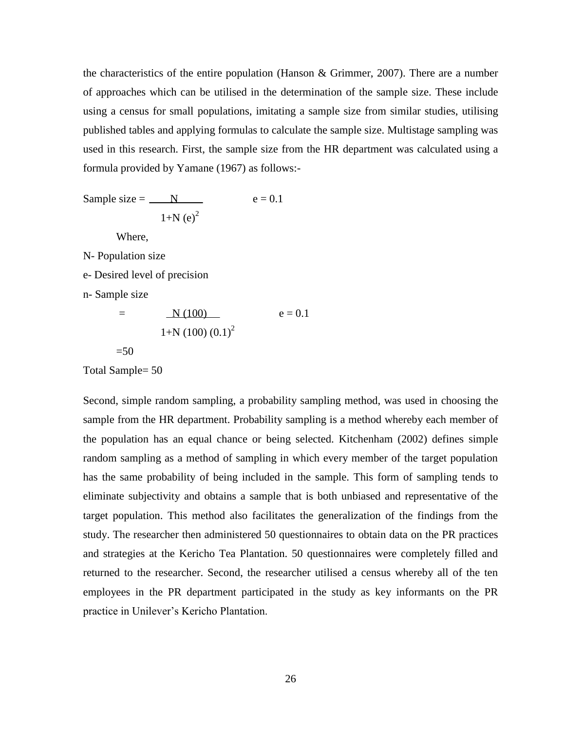the characteristics of the entire population (Hanson & Grimmer, 2007). There are a number of approaches which can be utilised in the determination of the sample size. These include using a census for small populations, imitating a sample size from similar studies, utilising published tables and applying formulas to calculate the sample size. Multistage sampling was used in this research. First, the sample size from the HR department was calculated using a formula provided by Yamane (1967) as follows:-

Sample size =  $N$  e = 0.1  $1+N(e)^2$ 

Where,

N- Population size

e- Desired level of precision

n- Sample size

$$
= \frac{N (100)}{1 + N (100) (0.1)^2}
$$
 e = 0.1

 $=50$ 

Total Sample= 50

Second, simple random sampling, a probability sampling method, was used in choosing the sample from the HR department. Probability sampling is a method whereby each member of the population has an equal chance or being selected. Kitchenham (2002) defines simple random sampling as a method of sampling in which every member of the target population has the same probability of being included in the sample. This form of sampling tends to eliminate subjectivity and obtains a sample that is both unbiased and representative of the target population. This method also facilitates the generalization of the findings from the study. The researcher then administered 50 questionnaires to obtain data on the PR practices and strategies at the Kericho Tea Plantation. 50 questionnaires were completely filled and returned to the researcher. Second, the researcher utilised a census whereby all of the ten employees in the PR department participated in the study as key informants on the PR practice in Unilever's Kericho Plantation.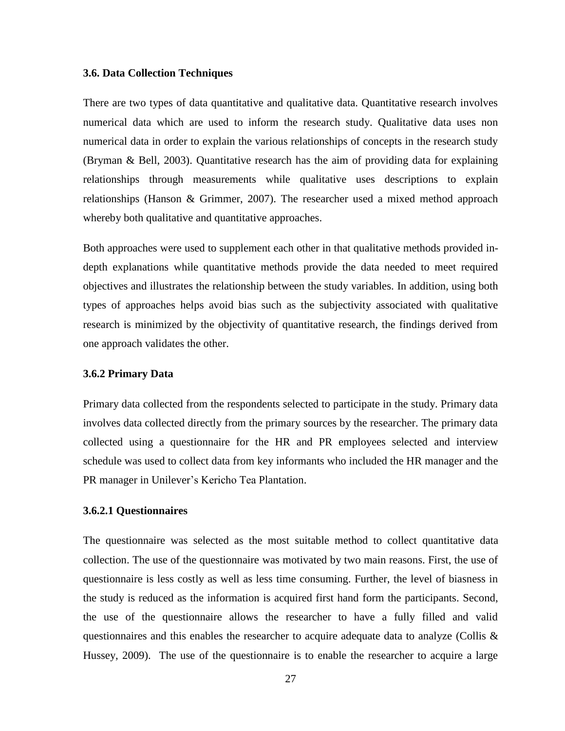#### <span id="page-35-0"></span>**3.6. Data Collection Techniques**

There are two types of data quantitative and qualitative data. Quantitative research involves numerical data which are used to inform the research study. Qualitative data uses non numerical data in order to explain the various relationships of concepts in the research study (Bryman & Bell, 2003). Quantitative research has the aim of providing data for explaining relationships through measurements while qualitative uses descriptions to explain relationships (Hanson & Grimmer, 2007). The researcher used a mixed method approach whereby both qualitative and quantitative approaches.

Both approaches were used to supplement each other in that qualitative methods provided indepth explanations while quantitative methods provide the data needed to meet required objectives and illustrates the relationship between the study variables. In addition, using both types of approaches helps avoid bias such as the subjectivity associated with qualitative research is minimized by the objectivity of quantitative research, the findings derived from one approach validates the other.

#### <span id="page-35-1"></span>**3.6.2 Primary Data**

Primary data collected from the respondents selected to participate in the study. Primary data involves data collected directly from the primary sources by the researcher. The primary data collected using a questionnaire for the HR and PR employees selected and interview schedule was used to collect data from key informants who included the HR manager and the PR manager in Unilever's Kericho Tea Plantation.

## **3.6.2.1 Questionnaires**

The questionnaire was selected as the most suitable method to collect quantitative data collection. The use of the questionnaire was motivated by two main reasons. First, the use of questionnaire is less costly as well as less time consuming. Further, the level of biasness in the study is reduced as the information is acquired first hand form the participants. Second, the use of the questionnaire allows the researcher to have a fully filled and valid questionnaires and this enables the researcher to acquire adequate data to analyze (Collis & Hussey, 2009). The use of the questionnaire is to enable the researcher to acquire a large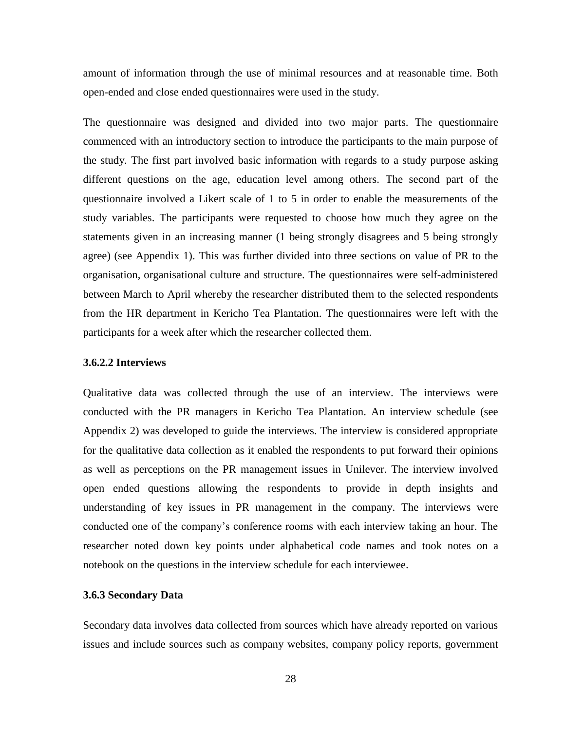amount of information through the use of minimal resources and at reasonable time. Both open-ended and close ended questionnaires were used in the study.

The questionnaire was designed and divided into two major parts. The questionnaire commenced with an introductory section to introduce the participants to the main purpose of the study. The first part involved basic information with regards to a study purpose asking different questions on the age, education level among others. The second part of the questionnaire involved a Likert scale of 1 to 5 in order to enable the measurements of the study variables. The participants were requested to choose how much they agree on the statements given in an increasing manner (1 being strongly disagrees and 5 being strongly agree) (see Appendix 1). This was further divided into three sections on value of PR to the organisation, organisational culture and structure. The questionnaires were self-administered between March to April whereby the researcher distributed them to the selected respondents from the HR department in Kericho Tea Plantation. The questionnaires were left with the participants for a week after which the researcher collected them.

## **3.6.2.2 Interviews**

Qualitative data was collected through the use of an interview. The interviews were conducted with the PR managers in Kericho Tea Plantation. An interview schedule (see Appendix 2) was developed to guide the interviews. The interview is considered appropriate for the qualitative data collection as it enabled the respondents to put forward their opinions as well as perceptions on the PR management issues in Unilever. The interview involved open ended questions allowing the respondents to provide in depth insights and understanding of key issues in PR management in the company. The interviews were conducted one of the company's conference rooms with each interview taking an hour. The researcher noted down key points under alphabetical code names and took notes on a notebook on the questions in the interview schedule for each interviewee.

# <span id="page-36-0"></span>**3.6.3 Secondary Data**

Secondary data involves data collected from sources which have already reported on various issues and include sources such as company websites, company policy reports, government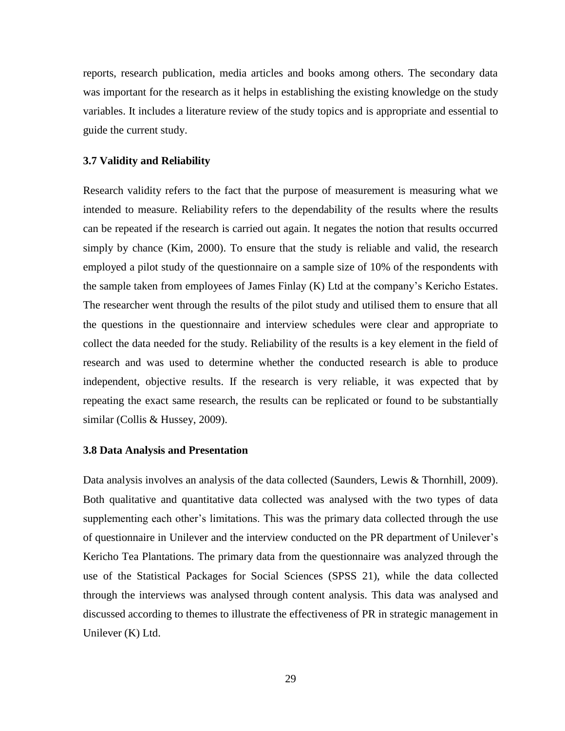reports, research publication, media articles and books among others. The secondary data was important for the research as it helps in establishing the existing knowledge on the study variables. It includes a literature review of the study topics and is appropriate and essential to guide the current study.

#### <span id="page-37-0"></span>**3.7 Validity and Reliability**

Research validity refers to the fact that the purpose of measurement is measuring what we intended to measure. Reliability refers to the dependability of the results where the results can be repeated if the research is carried out again. It negates the notion that results occurred simply by chance (Kim, 2000). To ensure that the study is reliable and valid, the research employed a pilot study of the questionnaire on a sample size of 10% of the respondents with the sample taken from employees of James Finlay (K) Ltd at the company's Kericho Estates. The researcher went through the results of the pilot study and utilised them to ensure that all the questions in the questionnaire and interview schedules were clear and appropriate to collect the data needed for the study. Reliability of the results is a key element in the field of research and was used to determine whether the conducted research is able to produce independent, objective results. If the research is very reliable, it was expected that by repeating the exact same research, the results can be replicated or found to be substantially similar (Collis & Hussey, 2009).

#### <span id="page-37-1"></span>**3.8 Data Analysis and Presentation**

Data analysis involves an analysis of the data collected (Saunders, Lewis & Thornhill, 2009). Both qualitative and quantitative data collected was analysed with the two types of data supplementing each other's limitations. This was the primary data collected through the use of questionnaire in Unilever and the interview conducted on the PR department of Unilever's Kericho Tea Plantations. The primary data from the questionnaire was analyzed through the use of the Statistical Packages for Social Sciences (SPSS 21), while the data collected through the interviews was analysed through content analysis. This data was analysed and discussed according to themes to illustrate the effectiveness of PR in strategic management in Unilever (K) Ltd.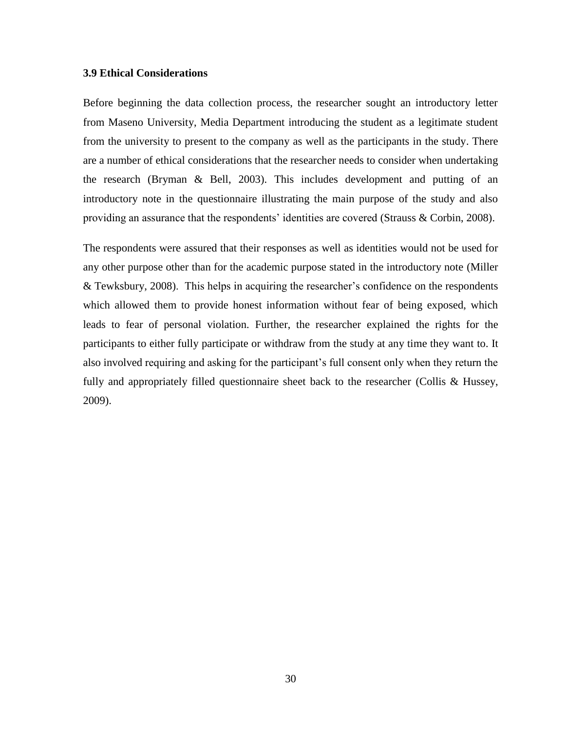## <span id="page-38-0"></span>**3.9 Ethical Considerations**

Before beginning the data collection process, the researcher sought an introductory letter from Maseno University, Media Department introducing the student as a legitimate student from the university to present to the company as well as the participants in the study. There are a number of ethical considerations that the researcher needs to consider when undertaking the research (Bryman & Bell, 2003). This includes development and putting of an introductory note in the questionnaire illustrating the main purpose of the study and also providing an assurance that the respondents' identities are covered (Strauss & Corbin, 2008).

The respondents were assured that their responses as well as identities would not be used for any other purpose other than for the academic purpose stated in the introductory note (Miller & Tewksbury, 2008). This helps in acquiring the researcher's confidence on the respondents which allowed them to provide honest information without fear of being exposed, which leads to fear of personal violation. Further, the researcher explained the rights for the participants to either fully participate or withdraw from the study at any time they want to. It also involved requiring and asking for the participant's full consent only when they return the fully and appropriately filled questionnaire sheet back to the researcher (Collis & Hussey, 2009).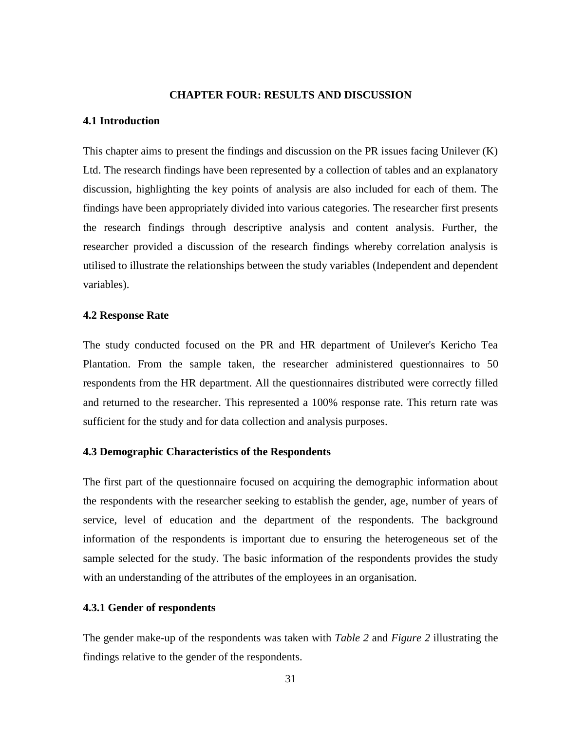#### **CHAPTER FOUR: RESULTS AND DISCUSSION**

#### <span id="page-39-1"></span><span id="page-39-0"></span>**4.1 Introduction**

This chapter aims to present the findings and discussion on the PR issues facing Unilever (K) Ltd. The research findings have been represented by a collection of tables and an explanatory discussion, highlighting the key points of analysis are also included for each of them. The findings have been appropriately divided into various categories. The researcher first presents the research findings through descriptive analysis and content analysis. Further, the researcher provided a discussion of the research findings whereby correlation analysis is utilised to illustrate the relationships between the study variables (Independent and dependent variables).

## <span id="page-39-2"></span>**4.2 Response Rate**

The study conducted focused on the PR and HR department of Unilever's Kericho Tea Plantation. From the sample taken, the researcher administered questionnaires to 50 respondents from the HR department. All the questionnaires distributed were correctly filled and returned to the researcher. This represented a 100% response rate. This return rate was sufficient for the study and for data collection and analysis purposes.

# <span id="page-39-3"></span>**4.3 Demographic Characteristics of the Respondents**

The first part of the questionnaire focused on acquiring the demographic information about the respondents with the researcher seeking to establish the gender, age, number of years of service, level of education and the department of the respondents. The background information of the respondents is important due to ensuring the heterogeneous set of the sample selected for the study. The basic information of the respondents provides the study with an understanding of the attributes of the employees in an organisation.

#### **4.3.1 Gender of respondents**

The gender make-up of the respondents was taken with *Table 2* and *Figure 2* illustrating the findings relative to the gender of the respondents.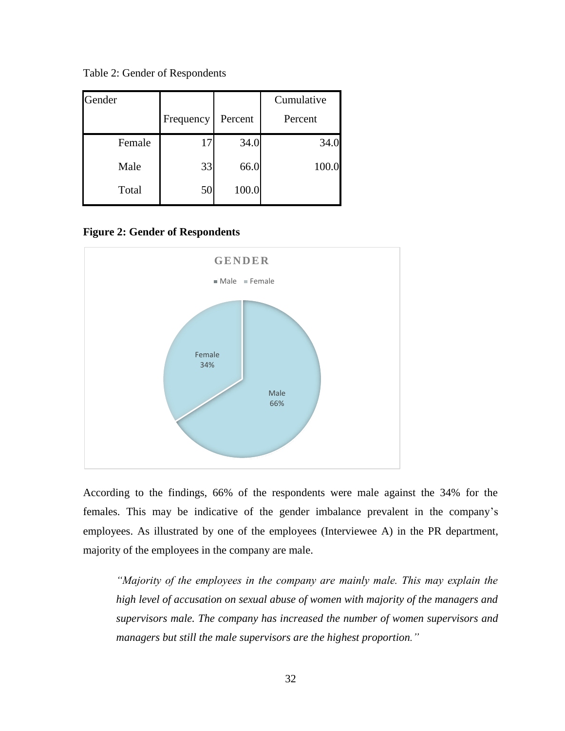<span id="page-40-0"></span>Table 2: Gender of Respondents

| Gender |           |         | Cumulative |
|--------|-----------|---------|------------|
|        | Frequency | Percent | Percent    |
| Female | 17        | 34.0    | 34.0       |
| Male   | 33        | 66.0    | 100.0      |
| Total  | 50        | 100.0   |            |

<span id="page-40-1"></span>**Figure 2: Gender of Respondents**



According to the findings, 66% of the respondents were male against the 34% for the females. This may be indicative of the gender imbalance prevalent in the company's employees. As illustrated by one of the employees (Interviewee A) in the PR department, majority of the employees in the company are male.

*"Majority of the employees in the company are mainly male. This may explain the high level of accusation on sexual abuse of women with majority of the managers and supervisors male. The company has increased the number of women supervisors and managers but still the male supervisors are the highest proportion."*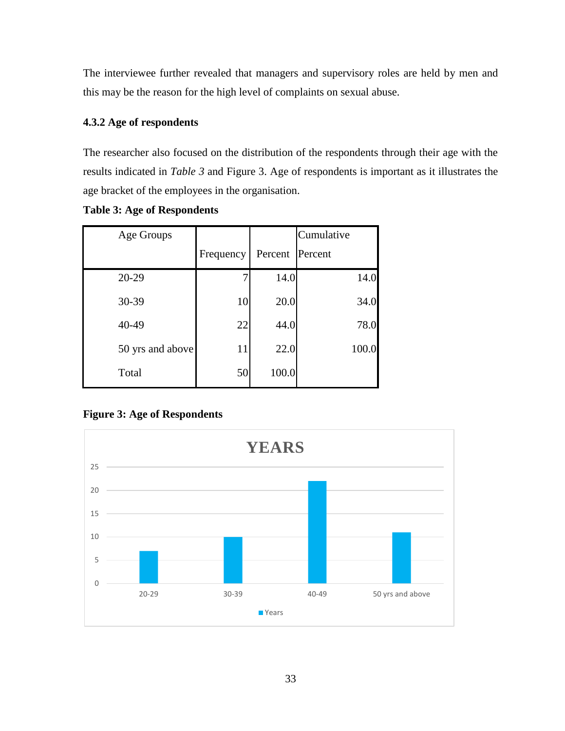The interviewee further revealed that managers and supervisory roles are held by men and this may be the reason for the high level of complaints on sexual abuse.

# **4.3.2 Age of respondents**

The researcher also focused on the distribution of the respondents through their age with the results indicated in *Table 3* and Figure 3. Age of respondents is important as it illustrates the age bracket of the employees in the organisation.

| Age Groups       |           |         | Cumulative |
|------------------|-----------|---------|------------|
|                  | Frequency | Percent | Percent    |
| 20-29            |           | 14.0    | 14.0       |
| 30-39            | 10        | 20.0    | 34.0       |
| 40-49            | 22        | 44.0    | 78.0       |
| 50 yrs and above | 11        | 22.0    | 100.0      |
| Total            | 50        | 100.0   |            |

# <span id="page-41-0"></span>**Table 3: Age of Respondents**

# <span id="page-41-1"></span>**Figure 3: Age of Respondents**

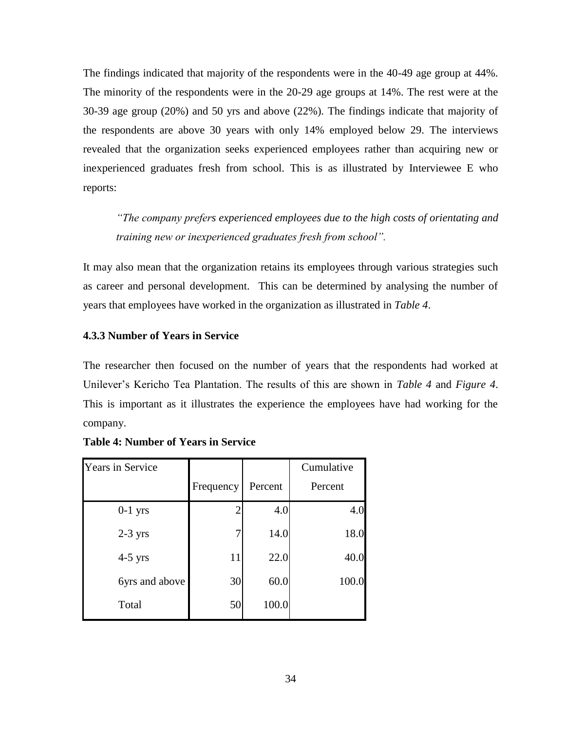The findings indicated that majority of the respondents were in the 40-49 age group at 44%. The minority of the respondents were in the 20-29 age groups at 14%. The rest were at the 30-39 age group (20%) and 50 yrs and above (22%). The findings indicate that majority of the respondents are above 30 years with only 14% employed below 29. The interviews revealed that the organization seeks experienced employees rather than acquiring new or inexperienced graduates fresh from school. This is as illustrated by Interviewee E who reports:

*"The company prefers experienced employees due to the high costs of orientating and training new or inexperienced graduates fresh from school".*

It may also mean that the organization retains its employees through various strategies such as career and personal development. This can be determined by analysing the number of years that employees have worked in the organization as illustrated in *Table 4*.

# **4.3.3 Number of Years in Service**

The researcher then focused on the number of years that the respondents had worked at Unilever's Kericho Tea Plantation. The results of this are shown in *Table 4* and *Figure 4*. This is important as it illustrates the experience the employees have had working for the company.

| <b>Years in Service</b> |           |         | Cumulative |
|-------------------------|-----------|---------|------------|
|                         | Frequency | Percent | Percent    |
| $0-1$ yrs               |           | 4.0     | 4.0        |
| $2-3$ yrs               |           | 14.0    | 18.0       |
| $4-5$ yrs               | 11        | 22.0    | 40.0       |
| 6yrs and above          | 30        | 60.0    | 100.0      |
| Total                   | 50        | 100.0   |            |

# <span id="page-42-0"></span>**Table 4: Number of Years in Service**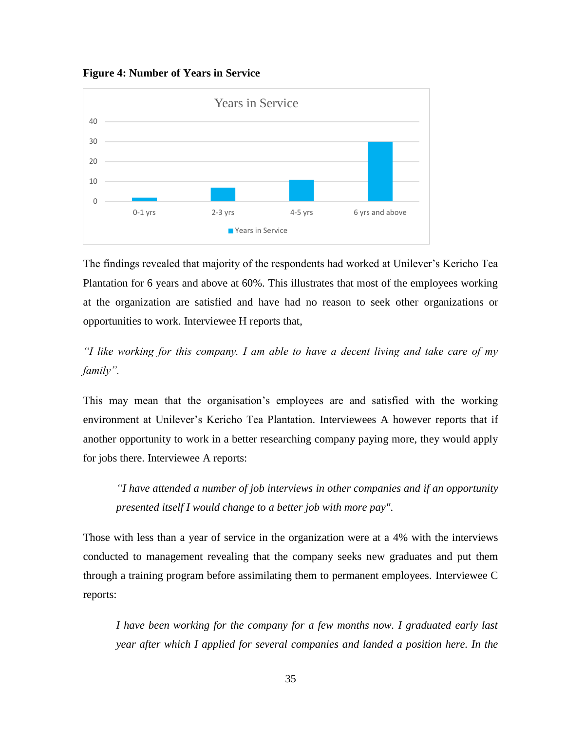<span id="page-43-0"></span>**Figure 4: Number of Years in Service**



The findings revealed that majority of the respondents had worked at Unilever's Kericho Tea Plantation for 6 years and above at 60%. This illustrates that most of the employees working at the organization are satisfied and have had no reason to seek other organizations or opportunities to work. Interviewee H reports that,

*"I like working for this company. I am able to have a decent living and take care of my family".*

This may mean that the organisation's employees are and satisfied with the working environment at Unilever's Kericho Tea Plantation. Interviewees A however reports that if another opportunity to work in a better researching company paying more, they would apply for jobs there. Interviewee A reports:

*"I have attended a number of job interviews in other companies and if an opportunity presented itself I would change to a better job with more pay".*

Those with less than a year of service in the organization were at a 4% with the interviews conducted to management revealing that the company seeks new graduates and put them through a training program before assimilating them to permanent employees. Interviewee C reports:

*I have been working for the company for a few months now. I graduated early last year after which I applied for several companies and landed a position here. In the*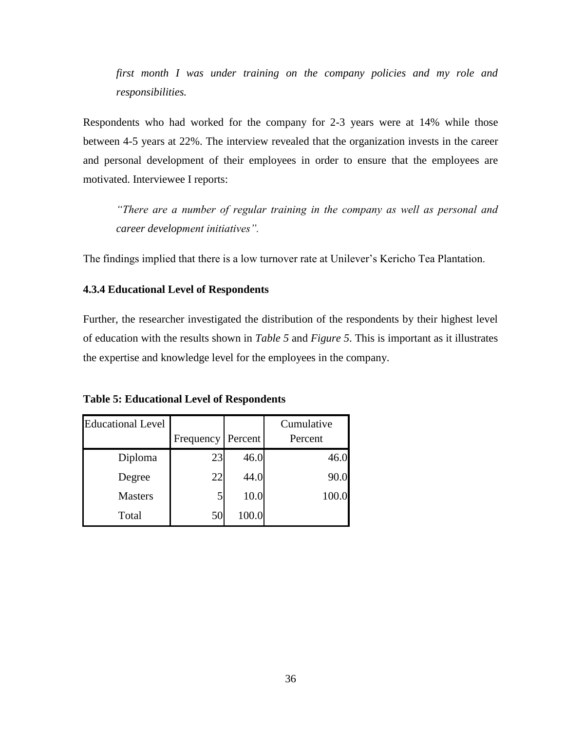*first month I was under training on the company policies and my role and responsibilities.*

Respondents who had worked for the company for 2-3 years were at 14% while those between 4-5 years at 22%. The interview revealed that the organization invests in the career and personal development of their employees in order to ensure that the employees are motivated. Interviewee I reports:

*"There are a number of regular training in the company as well as personal and career development initiatives".* 

The findings implied that there is a low turnover rate at Unilever's Kericho Tea Plantation.

# **4.3.4 Educational Level of Respondents**

Further, the researcher investigated the distribution of the respondents by their highest level of education with the results shown in *Table 5* and *Figure 5*. This is important as it illustrates the expertise and knowledge level for the employees in the company.

<span id="page-44-0"></span>**Table 5: Educational Level of Respondents**

| <b>Educational Level</b> |           |         | Cumulative |
|--------------------------|-----------|---------|------------|
|                          | Frequency | Percent | Percent    |
| Diploma                  | 23        | 46.0    | 46.0       |
| Degree                   | 22        | 44.0    | 90.0       |
| <b>Masters</b>           | 5         | 10.0    | 100.0      |
| Total                    | 50        | 100.0   |            |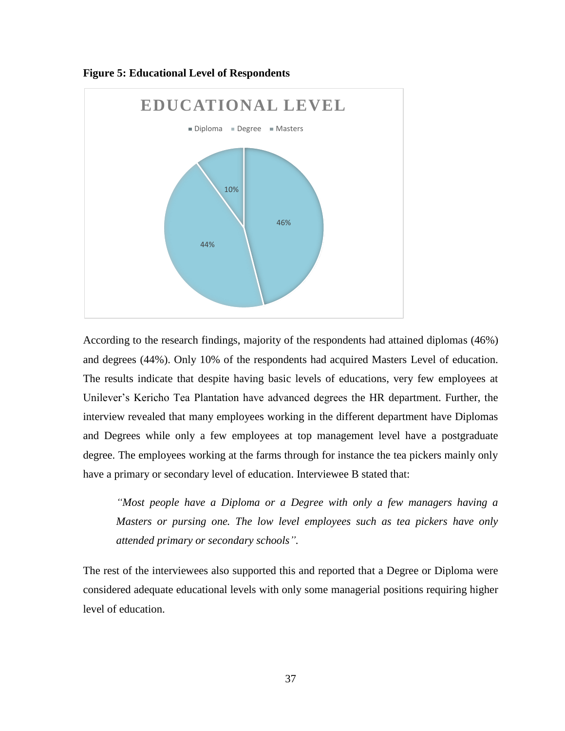

<span id="page-45-0"></span>**Figure 5: Educational Level of Respondents**

According to the research findings, majority of the respondents had attained diplomas (46%) and degrees (44%). Only 10% of the respondents had acquired Masters Level of education. The results indicate that despite having basic levels of educations, very few employees at Unilever's Kericho Tea Plantation have advanced degrees the HR department. Further, the interview revealed that many employees working in the different department have Diplomas and Degrees while only a few employees at top management level have a postgraduate degree. The employees working at the farms through for instance the tea pickers mainly only have a primary or secondary level of education. Interviewee B stated that:

*"Most people have a Diploma or a Degree with only a few managers having a Masters or pursing one. The low level employees such as tea pickers have only attended primary or secondary schools".*

The rest of the interviewees also supported this and reported that a Degree or Diploma were considered adequate educational levels with only some managerial positions requiring higher level of education.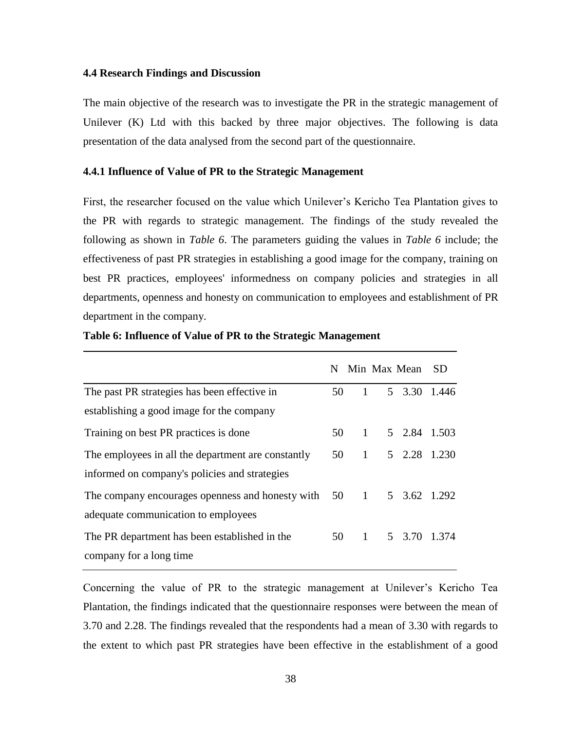#### <span id="page-46-0"></span>**4.4 Research Findings and Discussion**

The main objective of the research was to investigate the PR in the strategic management of Unilever (K) Ltd with this backed by three major objectives. The following is data presentation of the data analysed from the second part of the questionnaire.

# **4.4.1 Influence of Value of PR to the Strategic Management**

First, the researcher focused on the value which Unilever's Kericho Tea Plantation gives to the PR with regards to strategic management. The findings of the study revealed the following as shown in *Table 6*. The parameters guiding the values in *Table 6* include; the effectiveness of past PR strategies in establishing a good image for the company, training on best PR practices, employees' informedness on company policies and strategies in all departments, openness and honesty on communication to employees and establishment of PR department in the company.

|                                                    | N. |                | Min Max Mean | -SD |
|----------------------------------------------------|----|----------------|--------------|-----|
| The past PR strategies has been effective in       | 50 | $\mathbf{1}$   | 5 3.30 1.446 |     |
| establishing a good image for the company          |    |                |              |     |
| Training on best PR practices is done              | 50 | -1             | 5 2.84 1.503 |     |
| The employees in all the department are constantly | 50 | $\overline{1}$ | 5 2.28 1.230 |     |
| informed on company's policies and strategies      |    |                |              |     |
| The company encourages openness and honesty with   |    | 50 1           | 5 3.62 1.292 |     |
| adequate communication to employees                |    |                |              |     |
| The PR department has been established in the      | 50 | $\overline{1}$ | 5 3.70 1.374 |     |
| company for a long time                            |    |                |              |     |

### <span id="page-46-1"></span>**Table 6: Influence of Value of PR to the Strategic Management**

Concerning the value of PR to the strategic management at Unilever's Kericho Tea Plantation, the findings indicated that the questionnaire responses were between the mean of 3.70 and 2.28. The findings revealed that the respondents had a mean of 3.30 with regards to the extent to which past PR strategies have been effective in the establishment of a good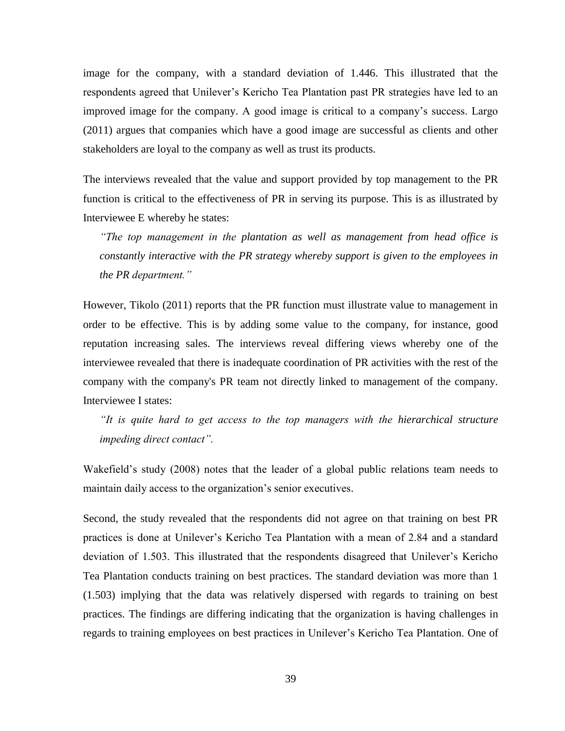image for the company, with a standard deviation of 1.446. This illustrated that the respondents agreed that Unilever's Kericho Tea Plantation past PR strategies have led to an improved image for the company. A good image is critical to a company's success. Largo (2011) argues that companies which have a good image are successful as clients and other stakeholders are loyal to the company as well as trust its products.

The interviews revealed that the value and support provided by top management to the PR function is critical to the effectiveness of PR in serving its purpose. This is as illustrated by Interviewee E whereby he states:

*"The top management in the plantation as well as management from head office is constantly interactive with the PR strategy whereby support is given to the employees in the PR department."*

However, Tikolo (2011) reports that the PR function must illustrate value to management in order to be effective. This is by adding some value to the company, for instance, good reputation increasing sales. The interviews reveal differing views whereby one of the interviewee revealed that there is inadequate coordination of PR activities with the rest of the company with the company's PR team not directly linked to management of the company. Interviewee I states:

*"It is quite hard to get access to the top managers with the hierarchical structure impeding direct contact".*

Wakefield's study (2008) notes that the leader of a global public relations team needs to maintain daily access to the organization's senior executives.

Second, the study revealed that the respondents did not agree on that training on best PR practices is done at Unilever's Kericho Tea Plantation with a mean of 2.84 and a standard deviation of 1.503. This illustrated that the respondents disagreed that Unilever's Kericho Tea Plantation conducts training on best practices. The standard deviation was more than 1 (1.503) implying that the data was relatively dispersed with regards to training on best practices. The findings are differing indicating that the organization is having challenges in regards to training employees on best practices in Unilever's Kericho Tea Plantation. One of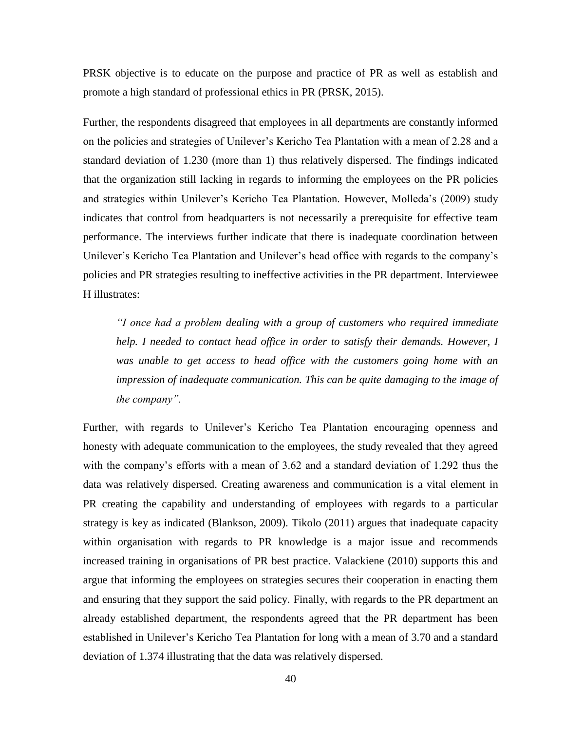PRSK objective is to educate on the purpose and practice of PR as well as establish and promote a high standard of professional ethics in PR (PRSK, 2015).

Further, the respondents disagreed that employees in all departments are constantly informed on the policies and strategies of Unilever's Kericho Tea Plantation with a mean of 2.28 and a standard deviation of 1.230 (more than 1) thus relatively dispersed. The findings indicated that the organization still lacking in regards to informing the employees on the PR policies and strategies within Unilever's Kericho Tea Plantation. However, Molleda's (2009) study indicates that control from headquarters is not necessarily a prerequisite for effective team performance. The interviews further indicate that there is inadequate coordination between Unilever's Kericho Tea Plantation and Unilever's head office with regards to the company's policies and PR strategies resulting to ineffective activities in the PR department. Interviewee H illustrates:

*"I once had a problem dealing with a group of customers who required immediate help. I needed to contact head office in order to satisfy their demands. However, I was unable to get access to head office with the customers going home with an impression of inadequate communication. This can be quite damaging to the image of the company".*

Further, with regards to Unilever's Kericho Tea Plantation encouraging openness and honesty with adequate communication to the employees, the study revealed that they agreed with the company's efforts with a mean of 3.62 and a standard deviation of 1.292 thus the data was relatively dispersed. Creating awareness and communication is a vital element in PR creating the capability and understanding of employees with regards to a particular strategy is key as indicated (Blankson, 2009). Tikolo (2011) argues that inadequate capacity within organisation with regards to PR knowledge is a major issue and recommends increased training in organisations of PR best practice. Valackiene (2010) supports this and argue that informing the employees on strategies secures their cooperation in enacting them and ensuring that they support the said policy. Finally, with regards to the PR department an already established department, the respondents agreed that the PR department has been established in Unilever's Kericho Tea Plantation for long with a mean of 3.70 and a standard deviation of 1.374 illustrating that the data was relatively dispersed.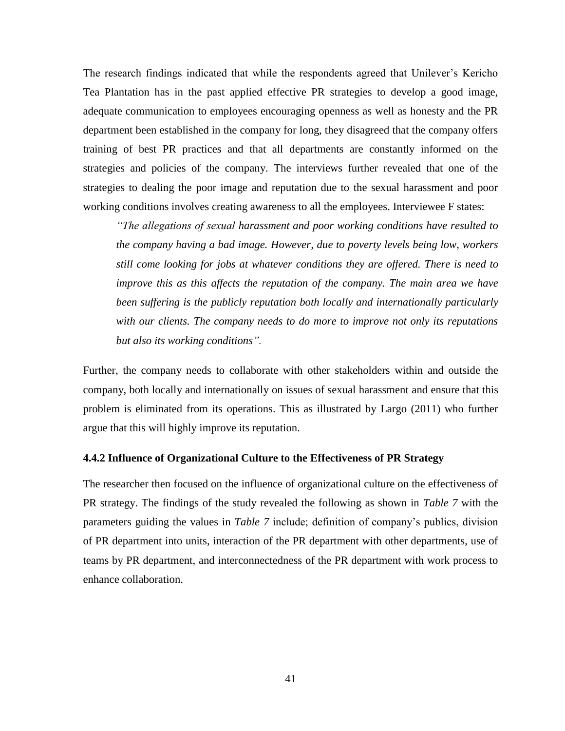The research findings indicated that while the respondents agreed that Unilever's Kericho Tea Plantation has in the past applied effective PR strategies to develop a good image, adequate communication to employees encouraging openness as well as honesty and the PR department been established in the company for long, they disagreed that the company offers training of best PR practices and that all departments are constantly informed on the strategies and policies of the company. The interviews further revealed that one of the strategies to dealing the poor image and reputation due to the sexual harassment and poor working conditions involves creating awareness to all the employees. Interviewee F states:

*"The allegations of sexual harassment and poor working conditions have resulted to the company having a bad image. However, due to poverty levels being low, workers still come looking for jobs at whatever conditions they are offered. There is need to improve this as this affects the reputation of the company. The main area we have been suffering is the publicly reputation both locally and internationally particularly with our clients. The company needs to do more to improve not only its reputations but also its working conditions".*

Further, the company needs to collaborate with other stakeholders within and outside the company, both locally and internationally on issues of sexual harassment and ensure that this problem is eliminated from its operations. This as illustrated by Largo (2011) who further argue that this will highly improve its reputation.

#### <span id="page-49-0"></span>**4.4.2 Influence of Organizational Culture to the Effectiveness of PR Strategy**

The researcher then focused on the influence of organizational culture on the effectiveness of PR strategy. The findings of the study revealed the following as shown in *Table 7* with the parameters guiding the values in *Table 7* include; definition of company's publics, division of PR department into units, interaction of the PR department with other departments, use of teams by PR department, and interconnectedness of the PR department with work process to enhance collaboration.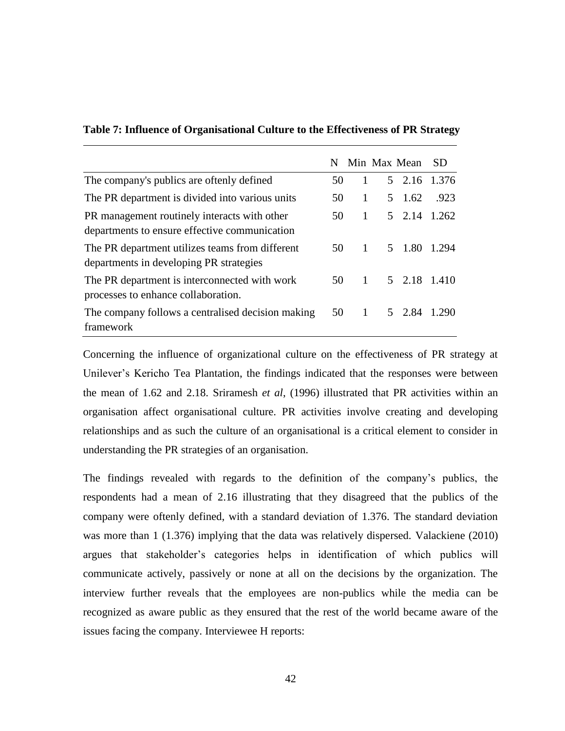|                                                                                               | N  |              | Min Max Mean | SD.   |
|-----------------------------------------------------------------------------------------------|----|--------------|--------------|-------|
| The company's publics are oftenly defined                                                     | 50 | 1            | 5 2.16       | 1.376 |
| The PR department is divided into various units                                               | 50 | 1            | 5 1.62       | .923  |
| PR management routinely interacts with other<br>departments to ensure effective communication | 50 | 1            | 5 2.14 1.262 |       |
| The PR department utilizes teams from different<br>departments in developing PR strategies    | 50 | $\mathbf{1}$ | 5 1.80       | 1.294 |
| The PR department is interconnected with work<br>processes to enhance collaboration.          | 50 | $\mathbf{1}$ | 5 2.18 1.410 |       |
| The company follows a centralised decision making<br>framework                                | 50 | $\mathbf{1}$ | 5 2.84       | 1.290 |

# <span id="page-50-0"></span>**Table 7: Influence of Organisational Culture to the Effectiveness of PR Strategy**

Concerning the influence of organizational culture on the effectiveness of PR strategy at Unilever's Kericho Tea Plantation, the findings indicated that the responses were between the mean of 1.62 and 2.18. Sriramesh *et al*, (1996) illustrated that PR activities within an organisation affect organisational culture. PR activities involve creating and developing relationships and as such the culture of an organisational is a critical element to consider in understanding the PR strategies of an organisation.

The findings revealed with regards to the definition of the company's publics, the respondents had a mean of 2.16 illustrating that they disagreed that the publics of the company were oftenly defined, with a standard deviation of 1.376. The standard deviation was more than 1 (1.376) implying that the data was relatively dispersed. Valackiene (2010) argues that stakeholder's categories helps in identification of which publics will communicate actively, passively or none at all on the decisions by the organization. The interview further reveals that the employees are non-publics while the media can be recognized as aware public as they ensured that the rest of the world became aware of the issues facing the company. Interviewee H reports: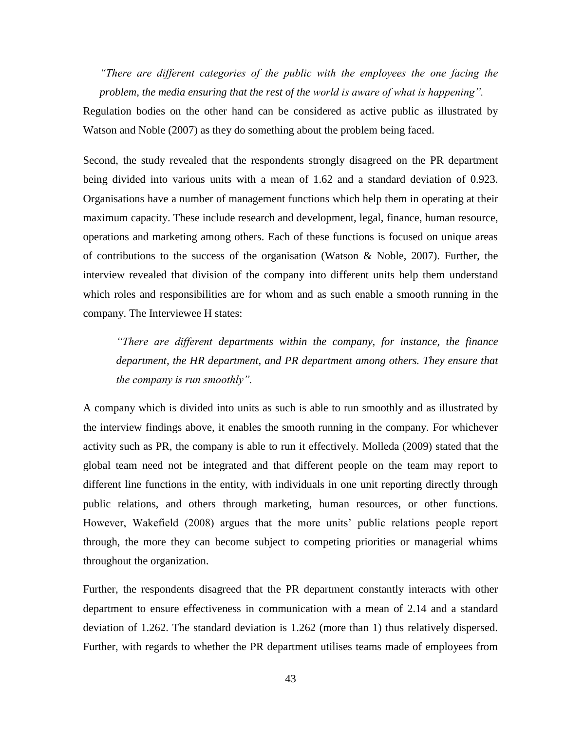*"There are different categories of the public with the employees the one facing the problem, the media ensuring that the rest of the world is aware of what is happening".*

Regulation bodies on the other hand can be considered as active public as illustrated by Watson and Noble (2007) as they do something about the problem being faced.

Second, the study revealed that the respondents strongly disagreed on the PR department being divided into various units with a mean of 1.62 and a standard deviation of 0.923. Organisations have a number of management functions which help them in operating at their maximum capacity. These include research and development, legal, finance, human resource, operations and marketing among others. Each of these functions is focused on unique areas of contributions to the success of the organisation (Watson & Noble, 2007). Further, the interview revealed that division of the company into different units help them understand which roles and responsibilities are for whom and as such enable a smooth running in the company. The Interviewee H states:

*"There are different departments within the company, for instance, the finance department, the HR department, and PR department among others. They ensure that the company is run smoothly".*

A company which is divided into units as such is able to run smoothly and as illustrated by the interview findings above, it enables the smooth running in the company. For whichever activity such as PR, the company is able to run it effectively. Molleda (2009) stated that the global team need not be integrated and that different people on the team may report to different line functions in the entity, with individuals in one unit reporting directly through public relations, and others through marketing, human resources, or other functions. However, Wakefield (2008) argues that the more units' public relations people report through, the more they can become subject to competing priorities or managerial whims throughout the organization.

Further, the respondents disagreed that the PR department constantly interacts with other department to ensure effectiveness in communication with a mean of 2.14 and a standard deviation of 1.262. The standard deviation is 1.262 (more than 1) thus relatively dispersed. Further, with regards to whether the PR department utilises teams made of employees from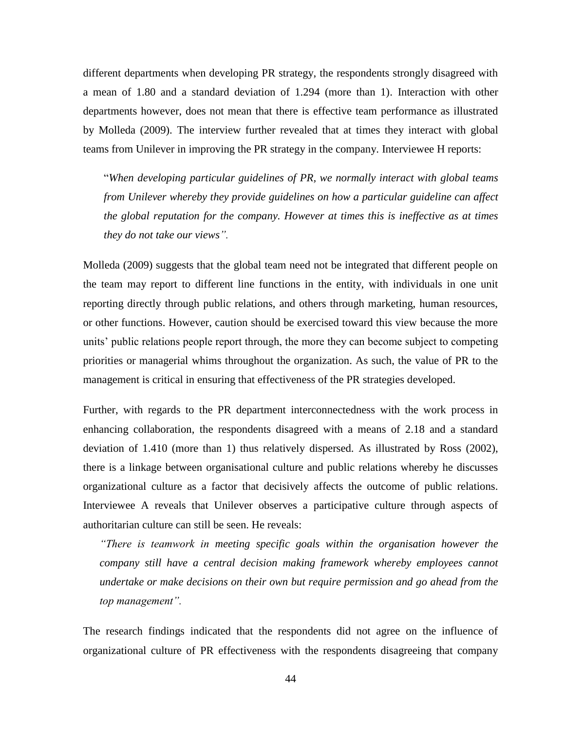different departments when developing PR strategy, the respondents strongly disagreed with a mean of 1.80 and a standard deviation of 1.294 (more than 1). Interaction with other departments however, does not mean that there is effective team performance as illustrated by Molleda (2009). The interview further revealed that at times they interact with global teams from Unilever in improving the PR strategy in the company. Interviewee H reports:

―*When developing particular guidelines of PR, we normally interact with global teams from Unilever whereby they provide guidelines on how a particular guideline can affect the global reputation for the company. However at times this is ineffective as at times they do not take our views".*

Molleda (2009) suggests that the global team need not be integrated that different people on the team may report to different line functions in the entity, with individuals in one unit reporting directly through public relations, and others through marketing, human resources, or other functions. However, caution should be exercised toward this view because the more units' public relations people report through, the more they can become subject to competing priorities or managerial whims throughout the organization. As such, the value of PR to the management is critical in ensuring that effectiveness of the PR strategies developed.

Further, with regards to the PR department interconnectedness with the work process in enhancing collaboration, the respondents disagreed with a means of 2.18 and a standard deviation of 1.410 (more than 1) thus relatively dispersed. As illustrated by Ross (2002), there is a linkage between organisational culture and public relations whereby he discusses organizational culture as a factor that decisively affects the outcome of public relations. Interviewee A reveals that Unilever observes a participative culture through aspects of authoritarian culture can still be seen. He reveals:

*"There is teamwork in meeting specific goals within the organisation however the company still have a central decision making framework whereby employees cannot undertake or make decisions on their own but require permission and go ahead from the top management".*

The research findings indicated that the respondents did not agree on the influence of organizational culture of PR effectiveness with the respondents disagreeing that company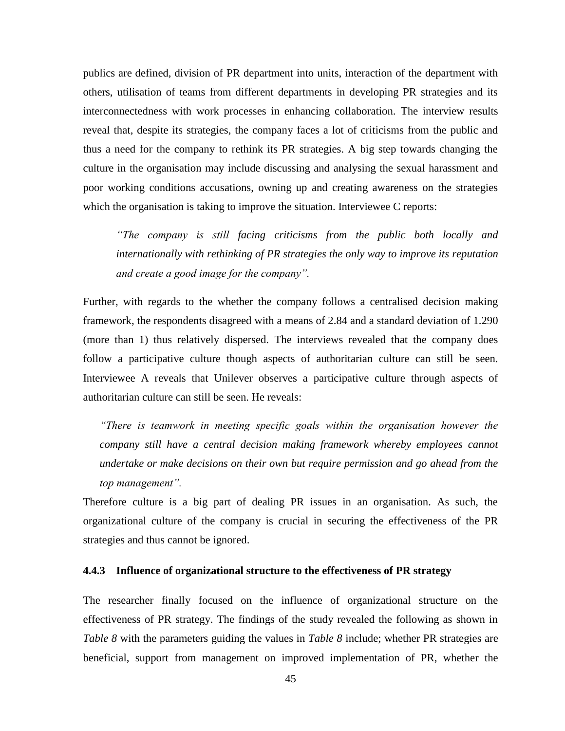publics are defined, division of PR department into units, interaction of the department with others, utilisation of teams from different departments in developing PR strategies and its interconnectedness with work processes in enhancing collaboration. The interview results reveal that, despite its strategies, the company faces a lot of criticisms from the public and thus a need for the company to rethink its PR strategies. A big step towards changing the culture in the organisation may include discussing and analysing the sexual harassment and poor working conditions accusations, owning up and creating awareness on the strategies which the organisation is taking to improve the situation. Interviewee C reports:

*"The company is still facing criticisms from the public both locally and internationally with rethinking of PR strategies the only way to improve its reputation and create a good image for the company".*

Further, with regards to the whether the company follows a centralised decision making framework, the respondents disagreed with a means of 2.84 and a standard deviation of 1.290 (more than 1) thus relatively dispersed. The interviews revealed that the company does follow a participative culture though aspects of authoritarian culture can still be seen. Interviewee A reveals that Unilever observes a participative culture through aspects of authoritarian culture can still be seen. He reveals:

*"There is teamwork in meeting specific goals within the organisation however the company still have a central decision making framework whereby employees cannot undertake or make decisions on their own but require permission and go ahead from the top management".*

Therefore culture is a big part of dealing PR issues in an organisation. As such, the organizational culture of the company is crucial in securing the effectiveness of the PR strategies and thus cannot be ignored.

# <span id="page-53-0"></span>**4.4.3 Influence of organizational structure to the effectiveness of PR strategy**

The researcher finally focused on the influence of organizational structure on the effectiveness of PR strategy. The findings of the study revealed the following as shown in *Table 8* with the parameters guiding the values in *Table 8* include; whether PR strategies are beneficial, support from management on improved implementation of PR, whether the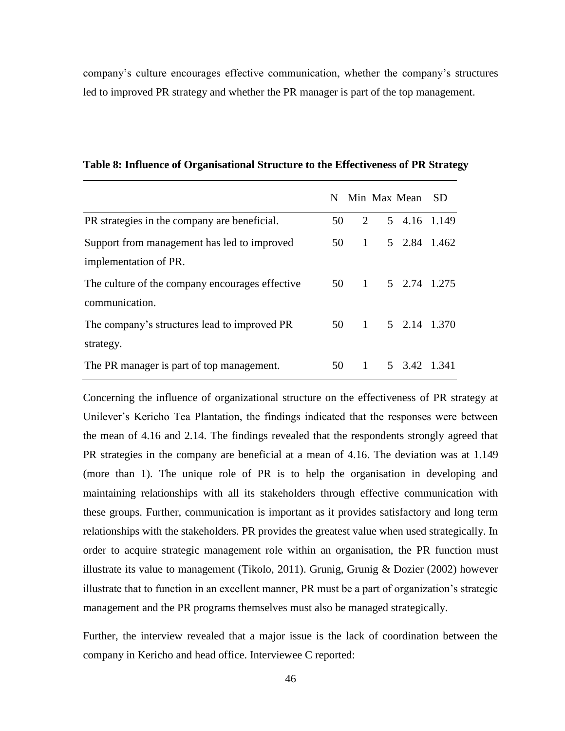<span id="page-54-0"></span>company's culture encourages effective communication, whether the company's structures led to improved PR strategy and whether the PR manager is part of the top management.

|                                                 |    |                | N Min Max Mean SD |  |
|-------------------------------------------------|----|----------------|-------------------|--|
| PR strategies in the company are beneficial.    | 50 | 2              | 5 4.16 1.149      |  |
| Support from management has led to improved     | 50 | $\overline{1}$ | 5 2.84 1.462      |  |
| implementation of PR.                           |    |                |                   |  |
| The culture of the company encourages effective |    |                | 50 1 5 2.74 1.275 |  |
| communication.                                  |    |                |                   |  |
| The company's structures lead to improved PR    |    |                | 50 1 5 2.14 1.370 |  |
| strategy.                                       |    |                |                   |  |
| The PR manager is part of top management.       | 50 | $\overline{1}$ | 5 3.42 1.341      |  |

**Table 8: Influence of Organisational Structure to the Effectiveness of PR Strategy**

Concerning the influence of organizational structure on the effectiveness of PR strategy at Unilever's Kericho Tea Plantation, the findings indicated that the responses were between the mean of 4.16 and 2.14. The findings revealed that the respondents strongly agreed that PR strategies in the company are beneficial at a mean of 4.16. The deviation was at 1.149 (more than 1). The unique role of PR is to help the organisation in developing and maintaining relationships with all its stakeholders through effective communication with these groups. Further, communication is important as it provides satisfactory and long term relationships with the stakeholders. PR provides the greatest value when used strategically. In order to acquire strategic management role within an organisation, the PR function must illustrate its value to management (Tikolo, 2011). Grunig, Grunig & Dozier (2002) however illustrate that to function in an excellent manner, PR must be a part of organization's strategic management and the PR programs themselves must also be managed strategically.

Further, the interview revealed that a major issue is the lack of coordination between the company in Kericho and head office. Interviewee C reported: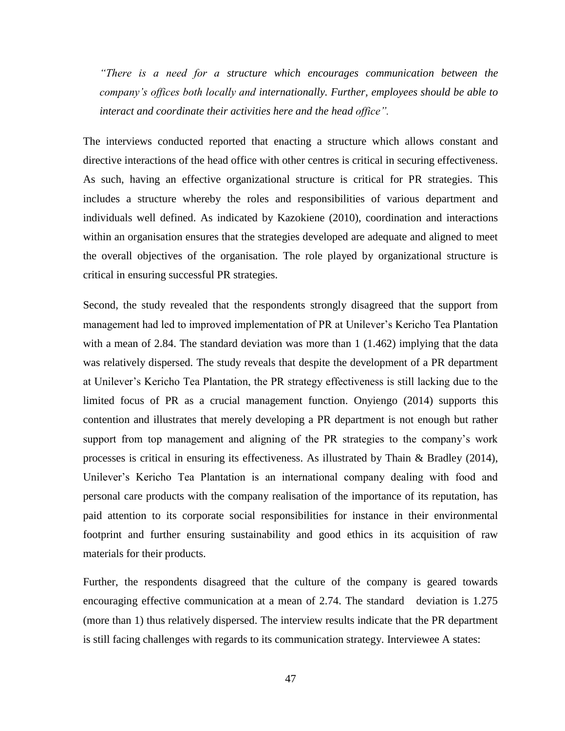*"There is a need for a structure which encourages communication between the company's offices both locally and internationally. Further, employees should be able to interact and coordinate their activities here and the head office".*

The interviews conducted reported that enacting a structure which allows constant and directive interactions of the head office with other centres is critical in securing effectiveness. As such, having an effective organizational structure is critical for PR strategies. This includes a structure whereby the roles and responsibilities of various department and individuals well defined. As indicated by Kazokiene (2010), coordination and interactions within an organisation ensures that the strategies developed are adequate and aligned to meet the overall objectives of the organisation. The role played by organizational structure is critical in ensuring successful PR strategies.

Second, the study revealed that the respondents strongly disagreed that the support from management had led to improved implementation of PR at Unilever's Kericho Tea Plantation with a mean of 2.84. The standard deviation was more than 1 (1.462) implying that the data was relatively dispersed. The study reveals that despite the development of a PR department at Unilever's Kericho Tea Plantation, the PR strategy effectiveness is still lacking due to the limited focus of PR as a crucial management function. Onyiengo (2014) supports this contention and illustrates that merely developing a PR department is not enough but rather support from top management and aligning of the PR strategies to the company's work processes is critical in ensuring its effectiveness. As illustrated by Thain & Bradley (2014), Unilever's Kericho Tea Plantation is an international company dealing with food and personal care products with the company realisation of the importance of its reputation, has paid attention to its corporate social responsibilities for instance in their environmental footprint and further ensuring sustainability and good ethics in its acquisition of raw materials for their products.

Further, the respondents disagreed that the culture of the company is geared towards encouraging effective communication at a mean of 2.74. The standard deviation is 1.275 (more than 1) thus relatively dispersed. The interview results indicate that the PR department is still facing challenges with regards to its communication strategy. Interviewee A states: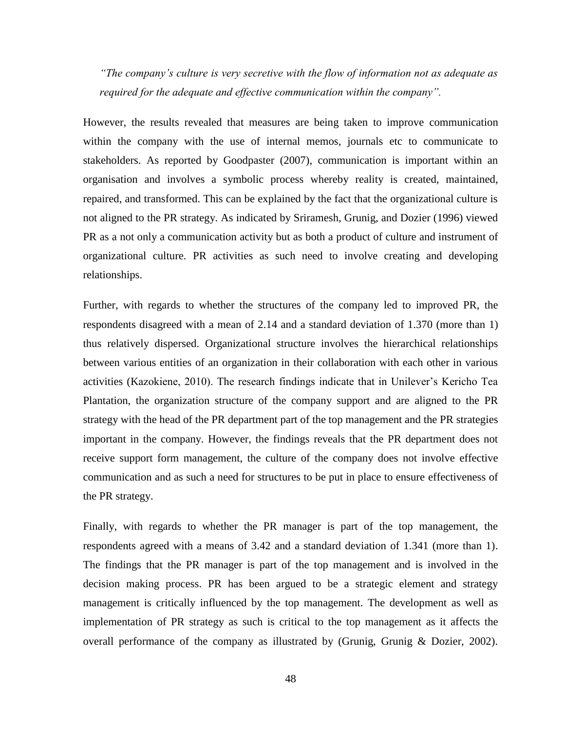*"The company's culture is very secretive with the flow of information not as adequate as required for the adequate and effective communication within the company".*

However, the results revealed that measures are being taken to improve communication within the company with the use of internal memos, journals etc to communicate to stakeholders. As reported by Goodpaster (2007), communication is important within an organisation and involves a symbolic process whereby reality is created, maintained, repaired, and transformed. This can be explained by the fact that the organizational culture is not aligned to the PR strategy. As indicated by Sriramesh, Grunig, and Dozier (1996) viewed PR as a not only a communication activity but as both a product of culture and instrument of organizational culture. PR activities as such need to involve creating and developing relationships.

Further, with regards to whether the structures of the company led to improved PR, the respondents disagreed with a mean of 2.14 and a standard deviation of 1.370 (more than 1) thus relatively dispersed. Organizational structure involves the hierarchical relationships between various entities of an organization in their collaboration with each other in various activities (Kazokiene, 2010). The research findings indicate that in Unilever's Kericho Tea Plantation, the organization structure of the company support and are aligned to the PR strategy with the head of the PR department part of the top management and the PR strategies important in the company. However, the findings reveals that the PR department does not receive support form management, the culture of the company does not involve effective communication and as such a need for structures to be put in place to ensure effectiveness of the PR strategy.

Finally, with regards to whether the PR manager is part of the top management, the respondents agreed with a means of 3.42 and a standard deviation of 1.341 (more than 1). The findings that the PR manager is part of the top management and is involved in the decision making process. PR has been argued to be a strategic element and strategy management is critically influenced by the top management. The development as well as implementation of PR strategy as such is critical to the top management as it affects the overall performance of the company as illustrated by (Grunig, Grunig & Dozier, 2002).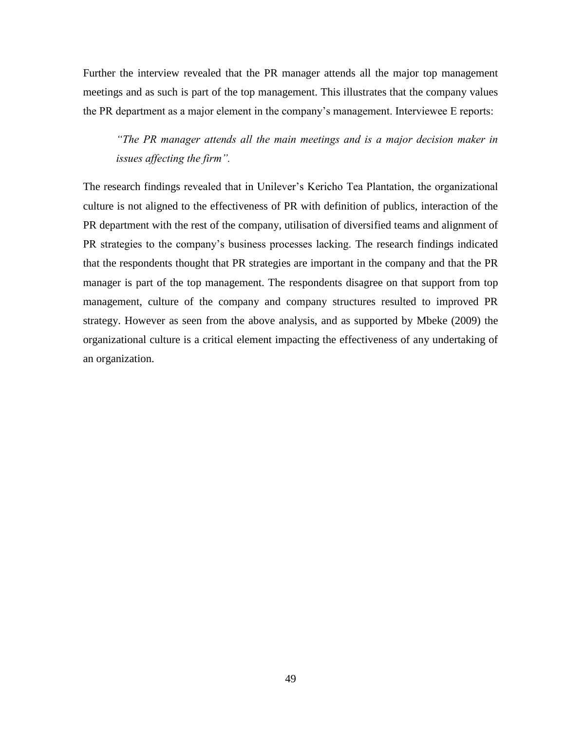Further the interview revealed that the PR manager attends all the major top management meetings and as such is part of the top management. This illustrates that the company values the PR department as a major element in the company's management. Interviewee E reports:

*"The PR manager attends all the main meetings and is a major decision maker in issues affecting the firm".*

The research findings revealed that in Unilever's Kericho Tea Plantation, the organizational culture is not aligned to the effectiveness of PR with definition of publics, interaction of the PR department with the rest of the company, utilisation of diversified teams and alignment of PR strategies to the company's business processes lacking. The research findings indicated that the respondents thought that PR strategies are important in the company and that the PR manager is part of the top management. The respondents disagree on that support from top management, culture of the company and company structures resulted to improved PR strategy. However as seen from the above analysis, and as supported by Mbeke (2009) the organizational culture is a critical element impacting the effectiveness of any undertaking of an organization.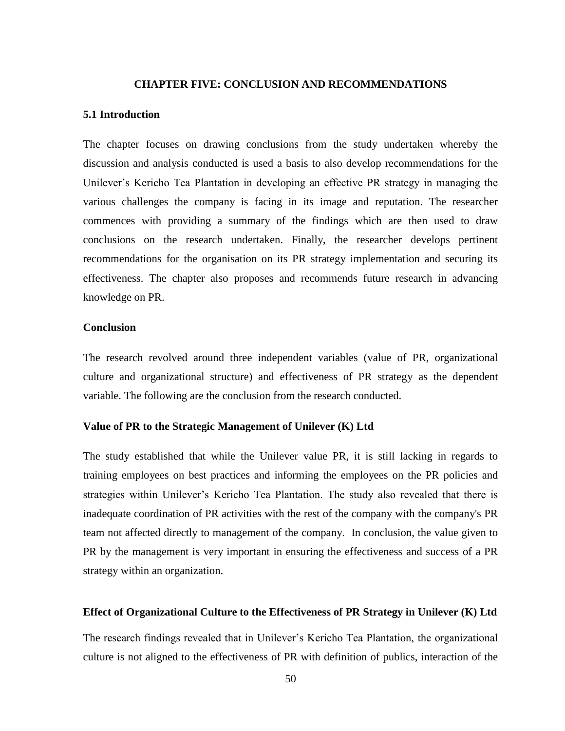#### **CHAPTER FIVE: CONCLUSION AND RECOMMENDATIONS**

## <span id="page-58-1"></span><span id="page-58-0"></span>**5.1 Introduction**

The chapter focuses on drawing conclusions from the study undertaken whereby the discussion and analysis conducted is used a basis to also develop recommendations for the Unilever's Kericho Tea Plantation in developing an effective PR strategy in managing the various challenges the company is facing in its image and reputation. The researcher commences with providing a summary of the findings which are then used to draw conclusions on the research undertaken. Finally, the researcher develops pertinent recommendations for the organisation on its PR strategy implementation and securing its effectiveness. The chapter also proposes and recommends future research in advancing knowledge on PR.

#### <span id="page-58-2"></span>**Conclusion**

The research revolved around three independent variables (value of PR, organizational culture and organizational structure) and effectiveness of PR strategy as the dependent variable. The following are the conclusion from the research conducted.

# **Value of PR to the Strategic Management of Unilever (K) Ltd**

The study established that while the Unilever value PR, it is still lacking in regards to training employees on best practices and informing the employees on the PR policies and strategies within Unilever's Kericho Tea Plantation. The study also revealed that there is inadequate coordination of PR activities with the rest of the company with the company's PR team not affected directly to management of the company. In conclusion, the value given to PR by the management is very important in ensuring the effectiveness and success of a PR strategy within an organization.

## <span id="page-58-3"></span>**Effect of Organizational Culture to the Effectiveness of PR Strategy in Unilever (K) Ltd**

The research findings revealed that in Unilever's Kericho Tea Plantation, the organizational culture is not aligned to the effectiveness of PR with definition of publics, interaction of the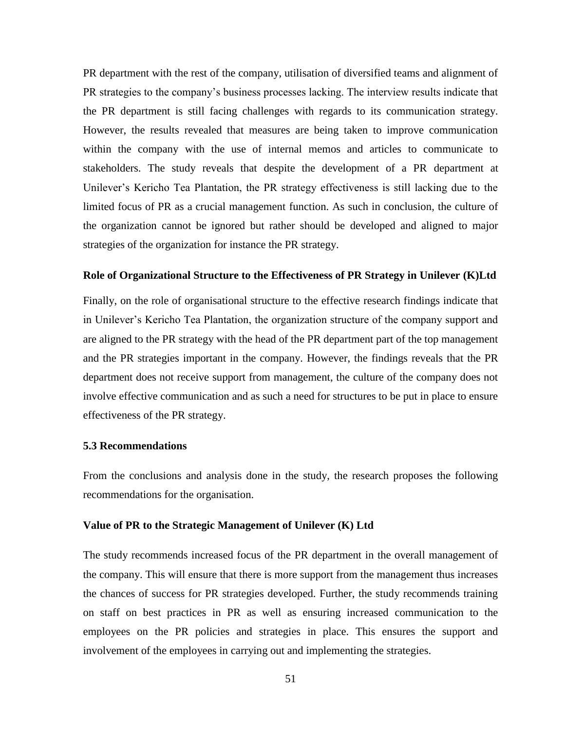PR department with the rest of the company, utilisation of diversified teams and alignment of PR strategies to the company's business processes lacking. The interview results indicate that the PR department is still facing challenges with regards to its communication strategy. However, the results revealed that measures are being taken to improve communication within the company with the use of internal memos and articles to communicate to stakeholders. The study reveals that despite the development of a PR department at Unilever's Kericho Tea Plantation, the PR strategy effectiveness is still lacking due to the limited focus of PR as a crucial management function. As such in conclusion, the culture of the organization cannot be ignored but rather should be developed and aligned to major strategies of the organization for instance the PR strategy.

# <span id="page-59-0"></span>**Role of Organizational Structure to the Effectiveness of PR Strategy in Unilever (K)Ltd**

Finally, on the role of organisational structure to the effective research findings indicate that in Unilever's Kericho Tea Plantation, the organization structure of the company support and are aligned to the PR strategy with the head of the PR department part of the top management and the PR strategies important in the company. However, the findings reveals that the PR department does not receive support from management, the culture of the company does not involve effective communication and as such a need for structures to be put in place to ensure effectiveness of the PR strategy.

#### <span id="page-59-1"></span>**5.3 Recommendations**

From the conclusions and analysis done in the study, the research proposes the following recommendations for the organisation.

# <span id="page-59-2"></span>**Value of PR to the Strategic Management of Unilever (K) Ltd**

The study recommends increased focus of the PR department in the overall management of the company. This will ensure that there is more support from the management thus increases the chances of success for PR strategies developed. Further, the study recommends training on staff on best practices in PR as well as ensuring increased communication to the employees on the PR policies and strategies in place. This ensures the support and involvement of the employees in carrying out and implementing the strategies.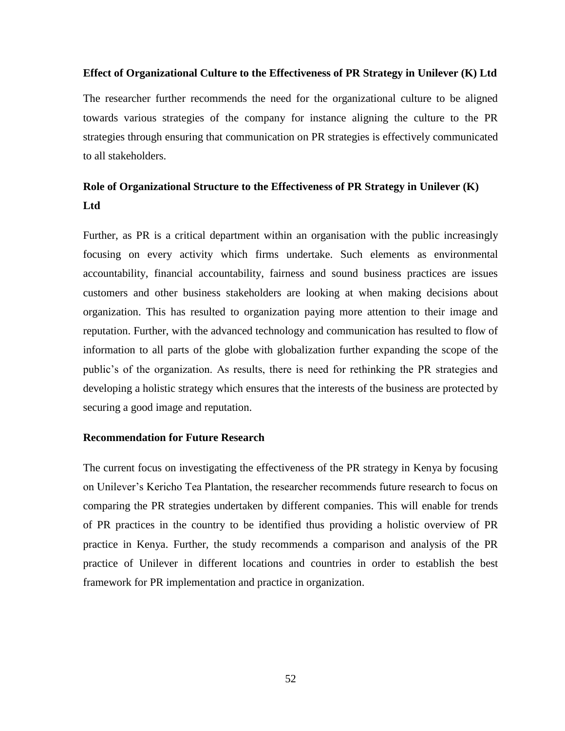# <span id="page-60-0"></span>**Effect of Organizational Culture to the Effectiveness of PR Strategy in Unilever (K) Ltd**

The researcher further recommends the need for the organizational culture to be aligned towards various strategies of the company for instance aligning the culture to the PR strategies through ensuring that communication on PR strategies is effectively communicated to all stakeholders.

# <span id="page-60-1"></span>**Role of Organizational Structure to the Effectiveness of PR Strategy in Unilever (K) Ltd**

Further, as PR is a critical department within an organisation with the public increasingly focusing on every activity which firms undertake. Such elements as environmental accountability, financial accountability, fairness and sound business practices are issues customers and other business stakeholders are looking at when making decisions about organization. This has resulted to organization paying more attention to their image and reputation. Further, with the advanced technology and communication has resulted to flow of information to all parts of the globe with globalization further expanding the scope of the public's of the organization. As results, there is need for rethinking the PR strategies and developing a holistic strategy which ensures that the interests of the business are protected by securing a good image and reputation.

# <span id="page-60-2"></span>**Recommendation for Future Research**

The current focus on investigating the effectiveness of the PR strategy in Kenya by focusing on Unilever's Kericho Tea Plantation, the researcher recommends future research to focus on comparing the PR strategies undertaken by different companies. This will enable for trends of PR practices in the country to be identified thus providing a holistic overview of PR practice in Kenya. Further, the study recommends a comparison and analysis of the PR practice of Unilever in different locations and countries in order to establish the best framework for PR implementation and practice in organization.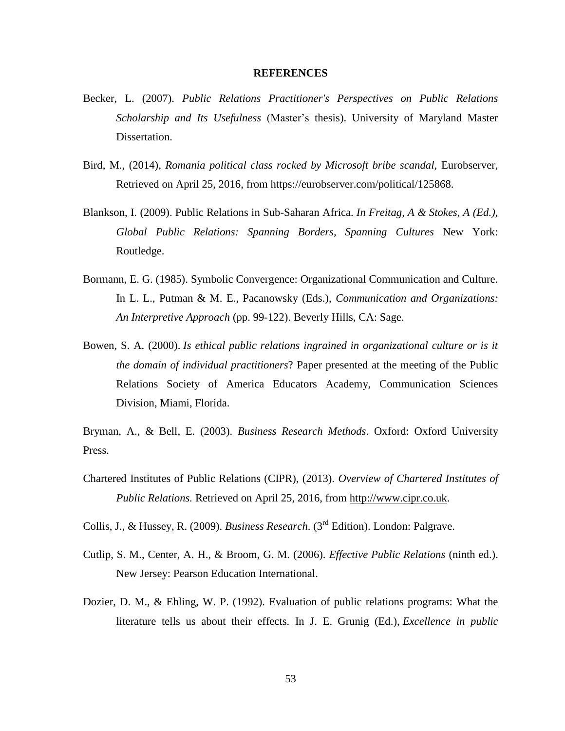#### **REFERENCES**

- <span id="page-61-0"></span>Becker, L. (2007). *Public Relations Practitioner's Perspectives on Public Relations Scholarship and Its Usefulness* (Master's thesis). University of Maryland Master Dissertation.
- Bird, M., (2014), *Romania political class rocked by Microsoft bribe scandal,* Eurobserver, Retrieved on April 25, 2016, from https://eurobserver.com/political/125868.
- Blankson, I. (2009). Public Relations in Sub-Saharan Africa. *In Freitag, A & Stokes, A (Ed.), Global Public Relations: Spanning Borders, Spanning Cultures* New York: Routledge.
- Bormann, E. G. (1985). Symbolic Convergence: Organizational Communication and Culture. In L. L., Putman & M. E., Pacanowsky (Eds.), *Communication and Organizations: An Interpretive Approach* (pp. 99-122). Beverly Hills, CA: Sage.
- Bowen, S. A. (2000). *Is ethical public relations ingrained in organizational culture or is it the domain of individual practitioners*? Paper presented at the meeting of the Public Relations Society of America Educators Academy, Communication Sciences Division, Miami, Florida.

Bryman, A., & Bell, E. (2003). *Business Research Methods*. Oxford: Oxford University Press.

Chartered Institutes of Public Relations (CIPR), (2013). *Overview of Chartered Institutes of Public Relations.* Retrieved on April 25, 2016, from http://www.cipr.co.uk.

Collis, J., & Hussey, R. (2009). *Business Research*. (3rd Edition). London: Palgrave.

- Cutlip, S. M., Center, A. H., & Broom, G. M. (2006). *Effective Public Relations* (ninth ed.). New Jersey: Pearson Education International.
- Dozier, D. M., & Ehling, W. P. (1992). Evaluation of public relations programs: What the literature tells us about their effects. In J. E. Grunig (Ed.), *Excellence in public*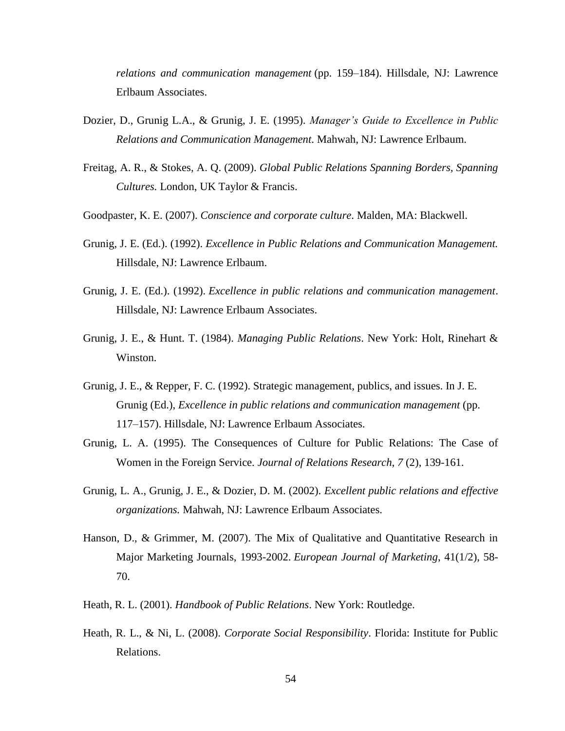*relations and communication management* (pp. 159–184). Hillsdale, NJ: Lawrence Erlbaum Associates.

- Dozier, D., Grunig L.A., & Grunig, J. E. (1995). *Manager's Guide to Excellence in Public Relations and Communication Management*. Mahwah, NJ: Lawrence Erlbaum.
- Freitag, A. R., & Stokes*,* A. Q. (2009). *Global Public Relations Spanning Borders, Spanning Cultures.* London, UK Taylor & Francis.
- Goodpaster, K. E. (2007). *Conscience and corporate culture*. Malden, MA: Blackwell.
- Grunig, J. E. (Ed.). (1992). *Excellence in Public Relations and Communication Management.* Hillsdale, NJ: Lawrence Erlbaum.
- Grunig, J. E. (Ed.). (1992). *Excellence in public relations and communication management*. Hillsdale, NJ: Lawrence Erlbaum Associates.
- Grunig, J. E., & Hunt. T. (1984). *Managing Public Relations*. New York: Holt, Rinehart & Winston.
- Grunig, J. E., & Repper, F. C. (1992). Strategic management, publics, and issues. In J. E. Grunig (Ed.), *Excellence in public relations and communication management* (pp. 117–157). Hillsdale, NJ: Lawrence Erlbaum Associates.
- Grunig, L. A. (1995). The Consequences of Culture for Public Relations: The Case of Women in the Foreign Service. *Journal of Relations Research*, *7* (2), 139-161.
- Grunig, L. A., Grunig, J. E., & Dozier, D. M. (2002). *Excellent public relations and effective organizations.* Mahwah, NJ: Lawrence Erlbaum Associates.
- Hanson, D., & Grimmer, M. (2007). The Mix of Qualitative and Quantitative Research in Major Marketing Journals, 1993-2002. *European Journal of Marketing*, 41(1/2), 58- 70.
- Heath, R. L. (2001). *Handbook of Public Relations*. New York: Routledge.
- Heath, R. L., & Ni, L. (2008). *Corporate Social Responsibility*. Florida: Institute for Public Relations.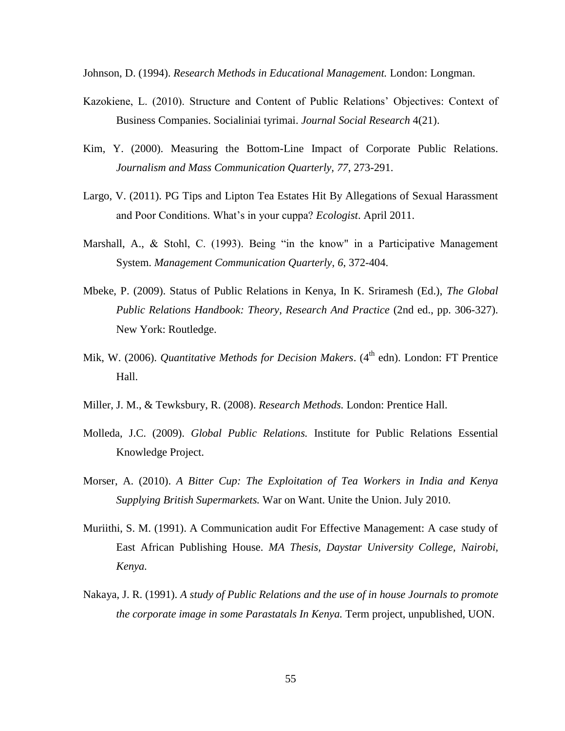Johnson, D. (1994). *Research Methods in Educational Management.* London: Longman.

- Kazokiene, L. (2010). Structure and Content of Public Relations' Objectives: Context of Business Companies. Socialiniai tyrimai. *Journal Social Research* 4(21).
- Kim, Y. (2000). Measuring the Bottom-Line Impact of Corporate Public Relations. *Journalism and Mass Communication Quarterly, 77*, 273-291.
- Largo, V. (2011). PG Tips and Lipton Tea Estates Hit By Allegations of Sexual Harassment and Poor Conditions. What's in your cuppa? *Ecologist*. April 2011.
- Marshall, A., & Stohl, C. (1993). Being "in the know" in a Participative Management System. *Management Communication Quarterly*, *6*, 372-404.
- Mbeke, P. (2009). Status of Public Relations in Kenya, In K. Sriramesh (Ed.), *The Global Public Relations Handbook: Theory, Research And Practice* (2nd ed., pp. 306-327). New York: Routledge.
- Mik, W. (2006). *Quantitative Methods for Decision Makers*. (4<sup>th</sup> edn). London: FT Prentice Hall.
- Miller, J. M., & Tewksbury, R. (2008). *Research Methods.* London: Prentice Hall.
- Molleda, J.C. (2009). *Global Public Relations.* Institute for Public Relations Essential Knowledge Project.
- Morser, A. (2010). *A Bitter Cup: The Exploitation of Tea Workers in India and Kenya Supplying British Supermarkets.* War on Want. Unite the Union. July 2010.
- Muriithi, S. M. (1991). A Communication audit For Effective Management: A case study of East African Publishing House. *MA Thesis, Daystar University College, Nairobi, Kenya.*
- Nakaya, J. R. (1991). *A study of Public Relations and the use of in house Journals to promote the corporate image in some Parastatals In Kenya.* Term project, unpublished, UON.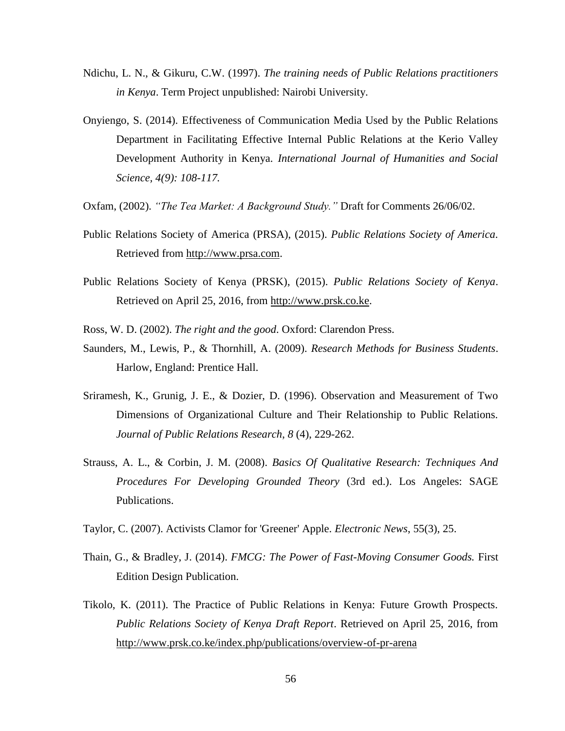- Ndichu, L. N., & Gikuru, C.W. (1997). *The training needs of Public Relations practitioners in Kenya*. Term Project unpublished: Nairobi University.
- Onyiengo, S. (2014). Effectiveness of Communication Media Used by the Public Relations Department in Facilitating Effective Internal Public Relations at the Kerio Valley Development Authority in Kenya. *International Journal of Humanities and Social Science, 4(9): 108-117.*
- Oxfam, (2002). *"The Tea Market: A Background Study."* Draft for Comments 26/06/02.
- Public Relations Society of America (PRSA), (2015). *Public Relations Society of America.*  Retrieved from [http://www.prsa.com.](http://www.prsa.com/)
- Public Relations Society of Kenya (PRSK), (2015). *Public Relations Society of Kenya*. Retrieved on April 25, 2016, from [http://www.prsk.co.ke.](http://www.prsk.co.ke/)
- Ross, W. D. (2002). *The right and the good*. Oxford: Clarendon Press.
- Saunders, M., Lewis, P., & Thornhill, A. (2009). *Research Methods for Business Students*. Harlow, England: Prentice Hall.
- Sriramesh, K., Grunig, J. E., & Dozier, D. (1996). Observation and Measurement of Two Dimensions of Organizational Culture and Their Relationship to Public Relations. *Journal of Public Relations Research*, *8* (4), 229-262.
- Strauss, A. L., & Corbin, J. M. (2008). *Basics Of Qualitative Research: Techniques And Procedures For Developing Grounded Theory* (3rd ed.). Los Angeles: SAGE Publications.
- Taylor, C. (2007). Activists Clamor for 'Greener' Apple. *Electronic News*, 55(3), 25.
- Thain, G., & Bradley, J. (2014). *FMCG: The Power of Fast-Moving Consumer Goods.* First Edition Design Publication.
- Tikolo, K. (2011). The Practice of Public Relations in Kenya: Future Growth Prospects. *Public Relations Society of Kenya Draft Report*. Retrieved on April 25, 2016, from <http://www.prsk.co.ke/index.php/publications/overview-of-pr-arena>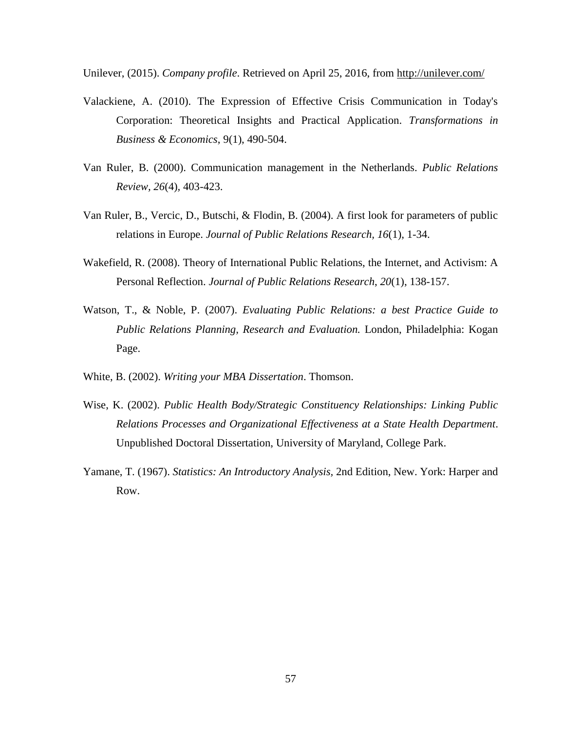Unilever, (2015). *Company profile*. Retrieved on April 25, 2016, from<http://unilever.com/>

- Valackiene, A. (2010). The Expression of Effective Crisis Communication in Today's Corporation: Theoretical Insights and Practical Application. *Transformations in Business & Economics*, 9(1), 490-504.
- Van Ruler, B. (2000). Communication management in the Netherlands. *Public Relations Review, 26*(4)*,* 403-423.
- Van Ruler, B., Vercic, D., Butschi, & Flodin, B. (2004). A first look for parameters of public relations in Europe. *Journal of Public Relations Research, 16*(1), 1-34.
- Wakefield, R. (2008). Theory of International Public Relations, the Internet, and Activism: A Personal Reflection. *Journal of Public Relations Research*, *20*(1), 138-157.
- Watson, T., & Noble, P. (2007). *Evaluating Public Relations: a best Practice Guide to Public Relations Planning, Research and Evaluation.* London, Philadelphia: Kogan Page.
- White, B. (2002). *Writing your MBA Dissertation*. Thomson.
- Wise, K. (2002). *Public Health Body/Strategic Constituency Relationships: Linking Public Relations Processes and Organizational Effectiveness at a State Health Department*. Unpublished Doctoral Dissertation, University of Maryland, College Park.
- Yamane, T. (1967). *Statistics: An Introductory Analysis,* 2nd Edition, New. York: Harper and Row.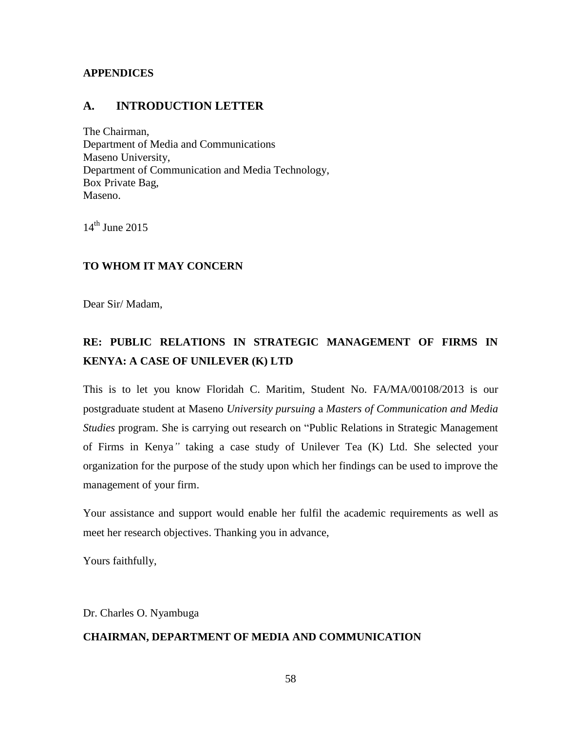# <span id="page-66-0"></span>**APPENDICES**

# <span id="page-66-1"></span>**A. INTRODUCTION LETTER**

The Chairman, Department of Media and Communications Maseno University, Department of Communication and Media Technology, Box Private Bag, Maseno.

 $14<sup>th</sup>$  June 2015

# **TO WHOM IT MAY CONCERN**

Dear Sir/ Madam,

# **RE: PUBLIC RELATIONS IN STRATEGIC MANAGEMENT OF FIRMS IN KENYA: A CASE OF UNILEVER (K) LTD**

This is to let you know Floridah C. Maritim, Student No. FA/MA/00108/2013 is our postgraduate student at Maseno *University pursuing* a *Masters of Communication and Media Studies* program. She is carrying out research on "Public Relations in Strategic Management of Firms in Kenya*"* taking a case study of Unilever Tea (K) Ltd. She selected your organization for the purpose of the study upon which her findings can be used to improve the management of your firm.

Your assistance and support would enable her fulfil the academic requirements as well as meet her research objectives. Thanking you in advance,

Yours faithfully,

Dr. Charles O. Nyambuga

# **CHAIRMAN, DEPARTMENT OF MEDIA AND COMMUNICATION**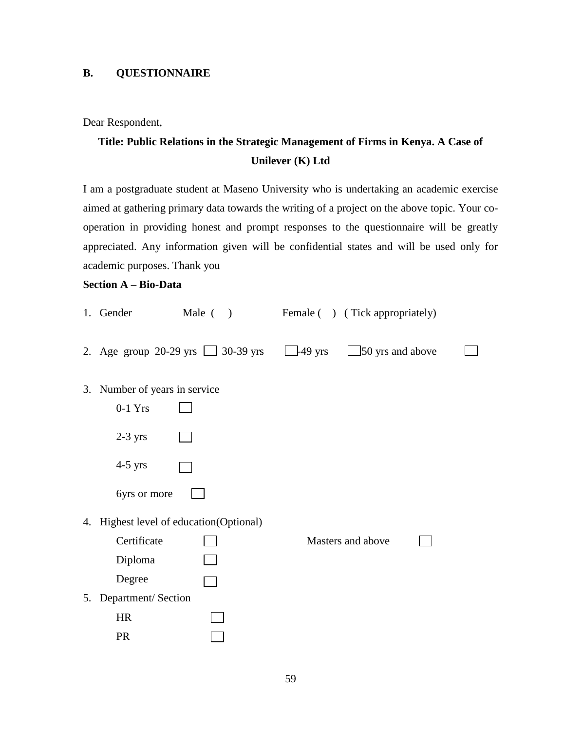# <span id="page-67-0"></span>**B. QUESTIONNAIRE**

Dear Respondent,

# **Title: Public Relations in the Strategic Management of Firms in Kenya. A Case of Unilever (K) Ltd**

I am a postgraduate student at Maseno University who is undertaking an academic exercise aimed at gathering primary data towards the writing of a project on the above topic. Your cooperation in providing honest and prompt responses to the questionnaire will be greatly appreciated. Any information given will be confidential states and will be used only for academic purposes. Thank you

# **Section A – Bio-Data**

|    | 1. Gender                  | Male $( )$                               |                   | Female ( ) (Tick appropriately) |  |
|----|----------------------------|------------------------------------------|-------------------|---------------------------------|--|
|    |                            | 2. Age group 20-29 yrs $\Box$ 30-39 yrs  | $-49 \text{ yrs}$ | 50 yrs and above                |  |
| 3. | Number of years in service |                                          |                   |                                 |  |
|    | $0-1$ Yrs                  |                                          |                   |                                 |  |
|    | $2-3$ yrs                  |                                          |                   |                                 |  |
|    | $4-5$ yrs                  |                                          |                   |                                 |  |
|    | 6yrs or more               |                                          |                   |                                 |  |
|    |                            | 4. Highest level of education (Optional) |                   |                                 |  |
|    | Certificate                |                                          |                   | Masters and above               |  |
|    | Diploma                    |                                          |                   |                                 |  |
|    | Degree                     |                                          |                   |                                 |  |
| 5. | Department/Section         |                                          |                   |                                 |  |
|    | <b>HR</b>                  |                                          |                   |                                 |  |
|    | <b>PR</b>                  |                                          |                   |                                 |  |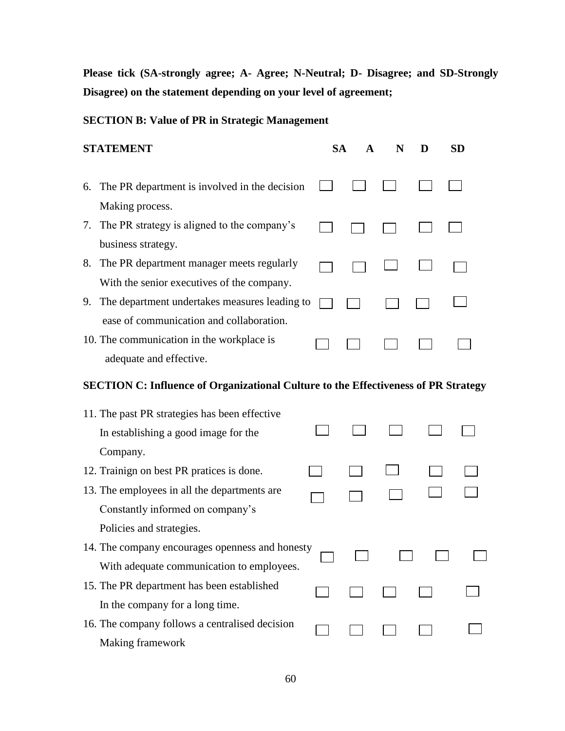**Please tick (SA-strongly agree; A- Agree; N-Neutral; D- Disagree; and SD-Strongly Disagree) on the statement depending on your level of agreement;**

# **SECTION B: Value of PR in Strategic Management**

| <b>STATEMENT</b> |  |  |  |  |  |
|------------------|--|--|--|--|--|
|------------------|--|--|--|--|--|

 $\Box$ 

 $\mathcal{L}(\mathcal{A})$ 

 $\Box$ 

 $\Box$ 

 $\Box$ 

 $\Box$ 

 $\Box$ 

 $\Box$ 

 $\overline{\phantom{a}}$ 

 $\mathbf{I}$ 

 $\Box$ 

 $\Box$ 

 $\Box$ 

- $\Box$ 6. The PR department is involved in the decision Making process.
- 7. The PR strategy is aligned to the company's  $\Box$  $\Box$ business strategy.
- 8. The PR department manager meets regularly With the senior executives of the company.
- 9. The department undertakes measures leading to  $\Box$ ease of communication and collaboration.
- 10. The communication in the workplace is adequate and effective.

# **SECTION C: Influence of Organizational Culture to the Effectiveness of PR Strategy**

| 11. The past PR strategies has been effective   |  |  |  |
|-------------------------------------------------|--|--|--|
| In establishing a good image for the            |  |  |  |
| Company.                                        |  |  |  |
| 12. Trainign on best PR pratices is done.       |  |  |  |
| 13. The employees in all the departments are    |  |  |  |
| Constantly informed on company's                |  |  |  |
| Policies and strategies.                        |  |  |  |
| 14. The company encourages openness and honesty |  |  |  |
| With adequate communication to employees.       |  |  |  |
| 15. The PR department has been established      |  |  |  |
| In the company for a long time.                 |  |  |  |
| 16. The company follows a centralised decision  |  |  |  |
| Making framework                                |  |  |  |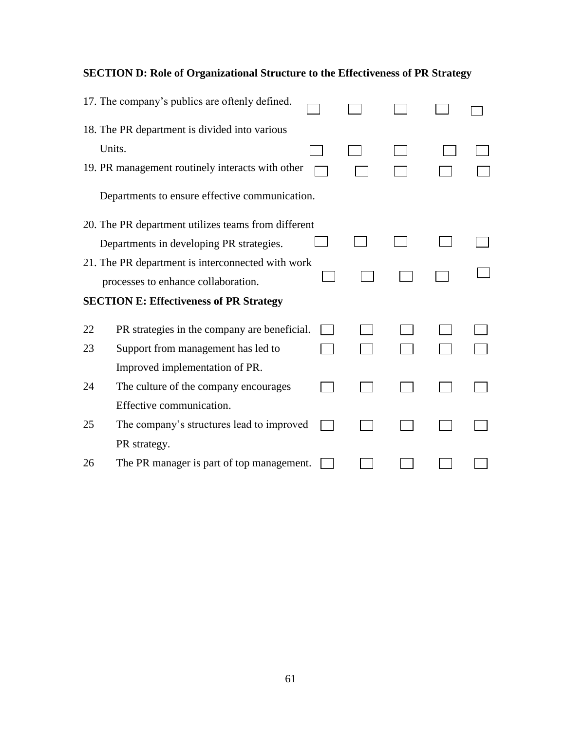|    | 17. The company's publics are oftenly defined.      |  |  |  |
|----|-----------------------------------------------------|--|--|--|
|    | 18. The PR department is divided into various       |  |  |  |
|    | Units.                                              |  |  |  |
|    | 19. PR management routinely interacts with other    |  |  |  |
|    | Departments to ensure effective communication.      |  |  |  |
|    | 20. The PR department utilizes teams from different |  |  |  |
|    | Departments in developing PR strategies.            |  |  |  |
|    | 21. The PR department is interconnected with work   |  |  |  |
|    | processes to enhance collaboration.                 |  |  |  |
|    | <b>SECTION E: Effectiveness of PR Strategy</b>      |  |  |  |
| 22 | PR strategies in the company are beneficial.        |  |  |  |
| 23 | Support from management has led to                  |  |  |  |
|    | Improved implementation of PR.                      |  |  |  |
| 24 | The culture of the company encourages               |  |  |  |
|    | Effective communication.                            |  |  |  |
| 25 | The company's structures lead to improved           |  |  |  |

# **SECTION D: Role of Organizational Structure to the Effectiveness of PR Strategy**

26 The PR manager is part of top management.

PR strategy.

 $\begin{array}{cccccccccccccc} \Box & \Box & \Box & \Box & \Box & \Box \end{array}$